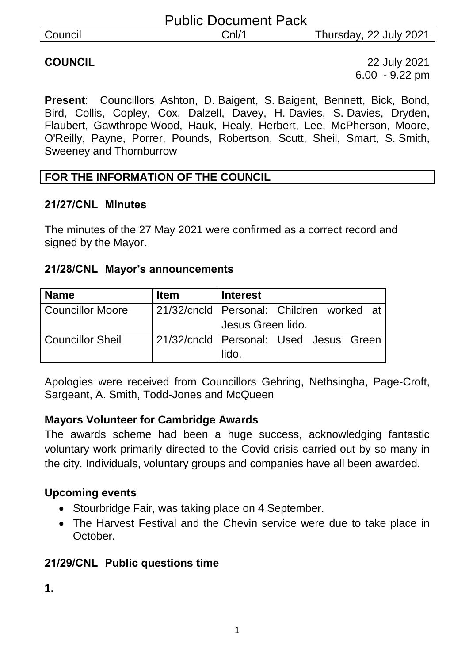|         | <b>Public Document Pack</b> |                        |
|---------|-----------------------------|------------------------|
| Council | CnI/1                       | Thursday, 22 July 2021 |

**COUNCIL** 22 July 2021 6.00 - 9.22 pm

**Present**: Councillors Ashton, D. Baigent, S. Baigent, Bennett, Bick, Bond, Bird, Collis, Copley, Cox, Dalzell, Davey, H. Davies, S. Davies, Dryden, Flaubert, Gawthrope Wood, Hauk, Healy, Herbert, Lee, McPherson, Moore, O'Reilly, Payne, Porrer, Pounds, Robertson, Scutt, Sheil, Smart, S. Smith, Sweeney and Thornburrow

#### **FOR THE INFORMATION OF THE COUNCIL**

#### **21/27/CNL Minutes**

The minutes of the 27 May 2021 were confirmed as a correct record and signed by the Mayor.

#### **21/28/CNL Mayor's announcements**

| <b>Name</b>             | <b>Item</b> | <b>Interest</b>                            |
|-------------------------|-------------|--------------------------------------------|
| <b>Councillor Moore</b> |             | 21/32/cncld   Personal: Children worked at |
|                         |             | Jesus Green lido.                          |
| <b>Councillor Sheil</b> |             | 21/32/cncld   Personal: Used Jesus Green   |
|                         |             | lido.                                      |

Apologies were received from Councillors Gehring, Nethsingha, Page-Croft, Sargeant, A. Smith, Todd-Jones and McQueen

#### **Mayors Volunteer for Cambridge Awards**

The awards scheme had been a huge success, acknowledging fantastic voluntary work primarily directed to the Covid crisis carried out by so many in the city. Individuals, voluntary groups and companies have all been awarded.

#### **Upcoming events**

- Stourbridge Fair, was taking place on 4 September.
- The Harvest Festival and the Chevin service were due to take place in October.

#### **21/29/CNL Public questions time**

**1.**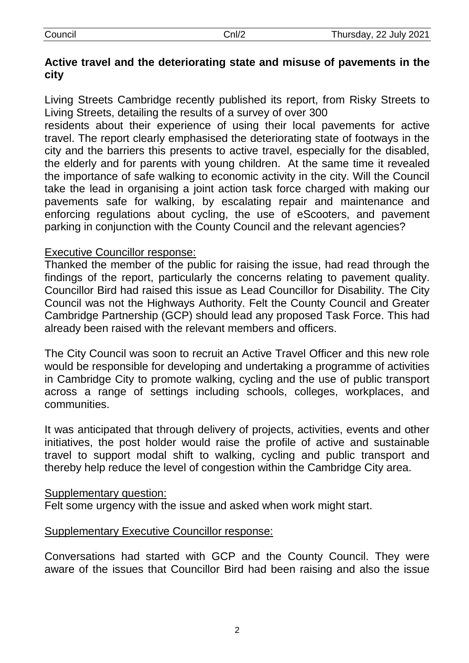| Council |
|---------|
|         |

## **Active travel and the deteriorating state and misuse of pavements in the city**

Living Streets Cambridge recently published its report, from Risky Streets to Living Streets, detailing the results of a survey of over 300

residents about their experience of using their local pavements for active travel. The report clearly emphasised the deteriorating state of footways in the city and the barriers this presents to active travel, especially for the disabled, the elderly and for parents with young children. At the same time it revealed the importance of safe walking to economic activity in the city. Will the Council take the lead in organising a joint action task force charged with making our pavements safe for walking, by escalating repair and maintenance and enforcing regulations about cycling, the use of eScooters, and pavement parking in conjunction with the County Council and the relevant agencies?

## Executive Councillor response:

Thanked the member of the public for raising the issue, had read through the findings of the report, particularly the concerns relating to pavement quality. Councillor Bird had raised this issue as Lead Councillor for Disability. The City Council was not the Highways Authority. Felt the County Council and Greater Cambridge Partnership (GCP) should lead any proposed Task Force. This had already been raised with the relevant members and officers.

The City Council was soon to recruit an Active Travel Officer and this new role would be responsible for developing and undertaking a programme of activities in Cambridge City to promote walking, cycling and the use of public transport across a range of settings including schools, colleges, workplaces, and communities.

It was anticipated that through delivery of projects, activities, events and other initiatives, the post holder would raise the profile of active and sustainable travel to support modal shift to walking, cycling and public transport and thereby help reduce the level of congestion within the Cambridge City area.

#### Supplementary question:

Felt some urgency with the issue and asked when work might start.

#### Supplementary Executive Councillor response:

Conversations had started with GCP and the County Council. They were aware of the issues that Councillor Bird had been raising and also the issue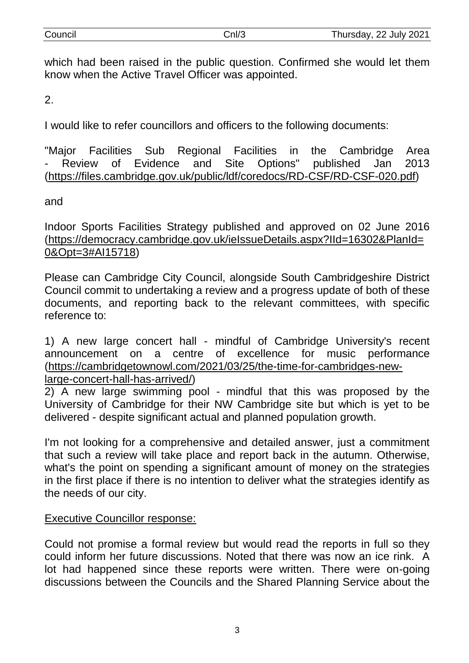| Council |  |
|---------|--|

which had been raised in the public question. Confirmed she would let them know when the Active Travel Officer was appointed.

2.

I would like to refer councillors and officers to the following documents:

"Major Facilities Sub Regional Facilities in the Cambridge Area Review of Evidence and Site Options" published Jan 2013 [\(https://files.cambridge.gov.uk/public/ldf/coredocs/RD-CSF/RD-CSF-020.pdf\)](https://protect-eu.mimecast.com/s/L-lUCXQmuMwvzVhkguZL?domain=files.cambridge.gov.uk)

and

Indoor Sports Facilities Strategy published and approved on 02 June 2016 [\(https://democracy.cambridge.gov.uk/ieIssueDetails.aspx?IId=16302&PlanId=](https://protect-eu.mimecast.com/s/vZ6RCVvgUPGrRNIzXbqt?domain=democracy.cambridge.gov.uk) [0&Opt=3#AI15718\)](https://protect-eu.mimecast.com/s/vZ6RCVvgUPGrRNIzXbqt?domain=democracy.cambridge.gov.uk)

Please can Cambridge City Council, alongside South Cambridgeshire District Council commit to undertaking a review and a progress update of both of these documents, and reporting back to the relevant committees, with specific reference to:

1) A new large concert hall - mindful of Cambridge University's recent announcement on a centre of excellence for music performance [\(https://cambridgetownowl.com/2021/03/25/the-time-for-cambridges-new-](https://protect-eu.mimecast.com/s/JoDSCWPkHyJ7WRhKvRaU?domain=cambridgetownowl.com/)

[large-concert-hall-has-arrived/\)](https://protect-eu.mimecast.com/s/JoDSCWPkHyJ7WRhKvRaU?domain=cambridgetownowl.com/)

2) A new large swimming pool - mindful that this was proposed by the University of Cambridge for their NW Cambridge site but which is yet to be delivered - despite significant actual and planned population growth.

I'm not looking for a comprehensive and detailed answer, just a commitment that such a review will take place and report back in the autumn. Otherwise, what's the point on spending a significant amount of money on the strategies in the first place if there is no intention to deliver what the strategies identify as the needs of our city.

#### Executive Councillor response:

Could not promise a formal review but would read the reports in full so they could inform her future discussions. Noted that there was now an ice rink. A lot had happened since these reports were written. There were on-going discussions between the Councils and the Shared Planning Service about the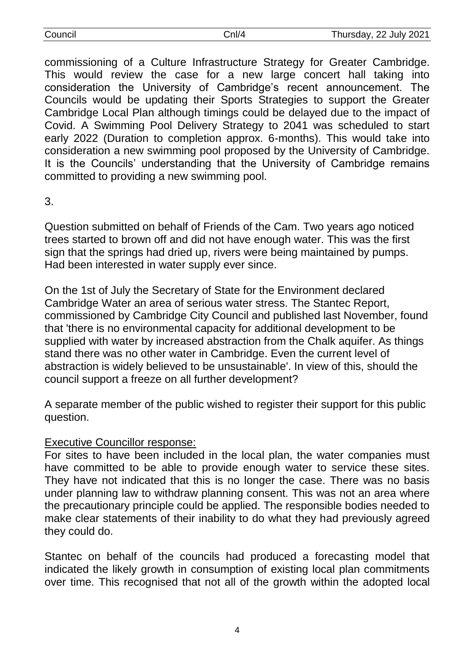| Council | `กl/4 | Thursday, 22 July 2021 |
|---------|-------|------------------------|
|         |       |                        |

commissioning of a Culture Infrastructure Strategy for Greater Cambridge. This would review the case for a new large concert hall taking into consideration the University of Cambridge's recent announcement. The Councils would be updating their Sports Strategies to support the Greater Cambridge Local Plan although timings could be delayed due to the impact of Covid. A Swimming Pool Delivery Strategy to 2041 was scheduled to start early 2022 (Duration to completion approx. 6-months). This would take into consideration a new swimming pool proposed by the University of Cambridge. It is the Councils' understanding that the University of Cambridge remains committed to providing a new swimming pool.

3.

Question submitted on behalf of Friends of the Cam. Two years ago noticed trees started to brown off and did not have enough water. This was the first sign that the springs had dried up, rivers were being maintained by pumps. Had been interested in water supply ever since.

On the 1st of July the Secretary of State for the Environment declared Cambridge Water an area of serious water stress. The Stantec Report, commissioned by Cambridge City Council and published last November, found that 'there is no environmental capacity for additional development to be supplied with water by increased abstraction from the Chalk aquifer. As things stand there was no other water in Cambridge. Even the current level of abstraction is widely believed to be unsustainable'. In view of this, should the council support a freeze on all further development?

A separate member of the public wished to register their support for this public question.

#### Executive Councillor response:

For sites to have been included in the local plan, the water companies must have committed to be able to provide enough water to service these sites. They have not indicated that this is no longer the case. There was no basis under planning law to withdraw planning consent. This was not an area where the precautionary principle could be applied. The responsible bodies needed to make clear statements of their inability to do what they had previously agreed they could do.

Stantec on behalf of the councils had produced a forecasting model that indicated the likely growth in consumption of existing local plan commitments over time. This recognised that not all of the growth within the adopted local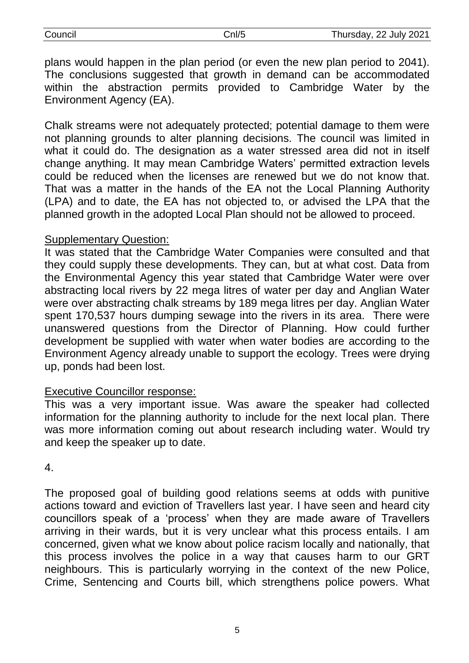| Council | `nl/5 | Thursday, 22 July 2021 |
|---------|-------|------------------------|
|         |       |                        |

plans would happen in the plan period (or even the new plan period to 2041). The conclusions suggested that growth in demand can be accommodated within the abstraction permits provided to Cambridge Water by the Environment Agency (EA).

Chalk streams were not adequately protected; potential damage to them were not planning grounds to alter planning decisions. The council was limited in what it could do. The designation as a water stressed area did not in itself change anything. It may mean Cambridge Waters' permitted extraction levels could be reduced when the licenses are renewed but we do not know that. That was a matter in the hands of the EA not the Local Planning Authority (LPA) and to date, the EA has not objected to, or advised the LPA that the planned growth in the adopted Local Plan should not be allowed to proceed.

#### Supplementary Question:

It was stated that the Cambridge Water Companies were consulted and that they could supply these developments. They can, but at what cost. Data from the Environmental Agency this year stated that Cambridge Water were over abstracting local rivers by 22 mega litres of water per day and Anglian Water were over abstracting chalk streams by 189 mega litres per day. Anglian Water spent 170,537 hours dumping sewage into the rivers in its area. There were unanswered questions from the Director of Planning. How could further development be supplied with water when water bodies are according to the Environment Agency already unable to support the ecology. Trees were drying up, ponds had been lost.

#### Executive Councillor response:

This was a very important issue. Was aware the speaker had collected information for the planning authority to include for the next local plan. There was more information coming out about research including water. Would try and keep the speaker up to date.

#### 4.

The proposed goal of building good relations seems at odds with punitive actions toward and eviction of Travellers last year. I have seen and heard city councillors speak of a 'process' when they are made aware of Travellers arriving in their wards, but it is very unclear what this process entails. I am concerned, given what we know about police racism locally and nationally, that this process involves the police in a way that causes harm to our GRT neighbours. This is particularly worrying in the context of the new Police, Crime, Sentencing and Courts bill, which strengthens police powers. What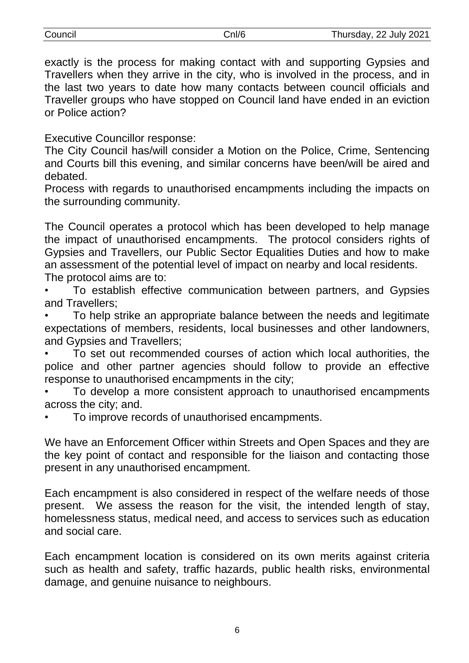| Council | Cnl/6 | Thursday, 22 July 2021 |
|---------|-------|------------------------|
|---------|-------|------------------------|

| Council |  |
|---------|--|
|         |  |
|         |  |

exactly is the process for making contact with and supporting Gypsies and Travellers when they arrive in the city, who is involved in the process, and in the last two years to date how many contacts between council officials and Traveller groups who have stopped on Council land have ended in an eviction or Police action?

Executive Councillor response:

The City Council has/will consider a Motion on the Police, Crime, Sentencing and Courts bill this evening, and similar concerns have been/will be aired and debated.

Process with regards to unauthorised encampments including the impacts on the surrounding community.

The Council operates a protocol which has been developed to help manage the impact of unauthorised encampments. The protocol considers rights of Gypsies and Travellers, our Public Sector Equalities Duties and how to make an assessment of the potential level of impact on nearby and local residents. The protocol aims are to:

• To establish effective communication between partners, and Gypsies and Travellers;

• To help strike an appropriate balance between the needs and legitimate expectations of members, residents, local businesses and other landowners, and Gypsies and Travellers;

• To set out recommended courses of action which local authorities, the police and other partner agencies should follow to provide an effective response to unauthorised encampments in the city;

• To develop a more consistent approach to unauthorised encampments across the city; and.

• To improve records of unauthorised encampments.

We have an Enforcement Officer within Streets and Open Spaces and they are the key point of contact and responsible for the liaison and contacting those present in any unauthorised encampment.

Each encampment is also considered in respect of the welfare needs of those present. We assess the reason for the visit, the intended length of stay, homelessness status, medical need, and access to services such as education and social care.

Each encampment location is considered on its own merits against criteria such as health and safety, traffic hazards, public health risks, environmental damage, and genuine nuisance to neighbours.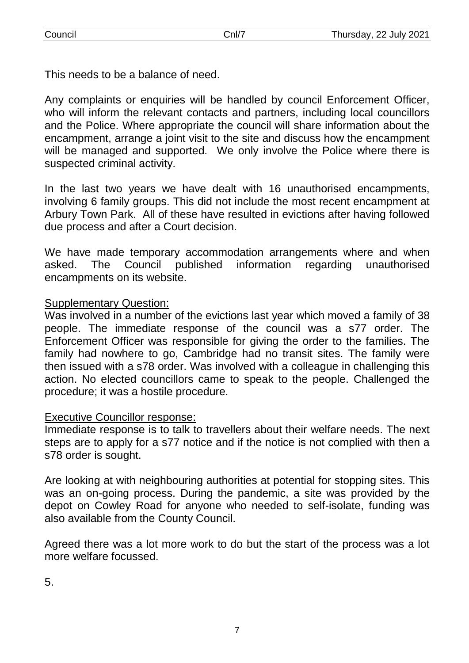This needs to be a balance of need.

Any complaints or enquiries will be handled by council Enforcement Officer, who will inform the relevant contacts and partners, including local councillors and the Police. Where appropriate the council will share information about the encampment, arrange a joint visit to the site and discuss how the encampment will be managed and supported. We only involve the Police where there is suspected criminal activity.

In the last two years we have dealt with 16 unauthorised encampments, involving 6 family groups. This did not include the most recent encampment at Arbury Town Park. All of these have resulted in evictions after having followed due process and after a Court decision.

We have made temporary accommodation arrangements where and when asked. The Council published information regarding unauthorised encampments on its website.

#### Supplementary Question:

Was involved in a number of the evictions last year which moved a family of 38 people. The immediate response of the council was a s77 order. The Enforcement Officer was responsible for giving the order to the families. The family had nowhere to go, Cambridge had no transit sites. The family were then issued with a s78 order. Was involved with a colleague in challenging this action. No elected councillors came to speak to the people. Challenged the procedure; it was a hostile procedure.

#### Executive Councillor response:

Immediate response is to talk to travellers about their welfare needs. The next steps are to apply for a s77 notice and if the notice is not complied with then a s78 order is sought.

Are looking at with neighbouring authorities at potential for stopping sites. This was an on-going process. During the pandemic, a site was provided by the depot on Cowley Road for anyone who needed to self-isolate, funding was also available from the County Council.

Agreed there was a lot more work to do but the start of the process was a lot more welfare focussed.

5.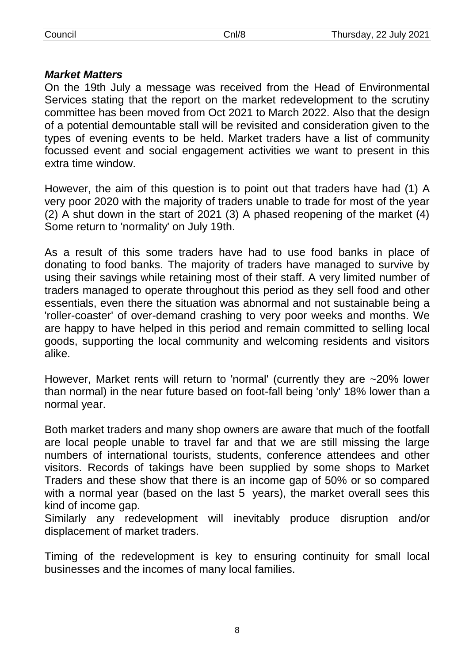## *Market Matters*

On the 19th July a message was received from the Head of Environmental Services stating that the report on the market redevelopment to the scrutiny committee has been moved from Oct 2021 to March 2022. Also that the design of a potential demountable stall will be revisited and consideration given to the types of evening events to be held. Market traders have a list of community focussed event and social engagement activities we want to present in this extra time window.

However, the aim of this question is to point out that traders have had (1) A very poor 2020 with the majority of traders unable to trade for most of the year (2) A shut down in the start of 2021 (3) A phased reopening of the market (4) Some return to 'normality' on July 19th.

As a result of this some traders have had to use food banks in place of donating to food banks. The majority of traders have managed to survive by using their savings while retaining most of their staff. A very limited number of traders managed to operate throughout this period as they sell food and other essentials, even there the situation was abnormal and not sustainable being a 'roller-coaster' of over-demand crashing to very poor weeks and months. We are happy to have helped in this period and remain committed to selling local goods, supporting the local community and welcoming residents and visitors alike.

However, Market rents will return to 'normal' (currently they are ~20% lower than normal) in the near future based on foot-fall being 'only' 18% lower than a normal year.

Both market traders and many shop owners are aware that much of the footfall are local people unable to travel far and that we are still missing the large numbers of international tourists, students, conference attendees and other visitors. Records of takings have been supplied by some shops to Market Traders and these show that there is an income gap of 50% or so compared with a normal year (based on the last 5 years), the market overall sees this kind of income gap.

Similarly any redevelopment will inevitably produce disruption and/or displacement of market traders.

Timing of the redevelopment is key to ensuring continuity for small local businesses and the incomes of many local families.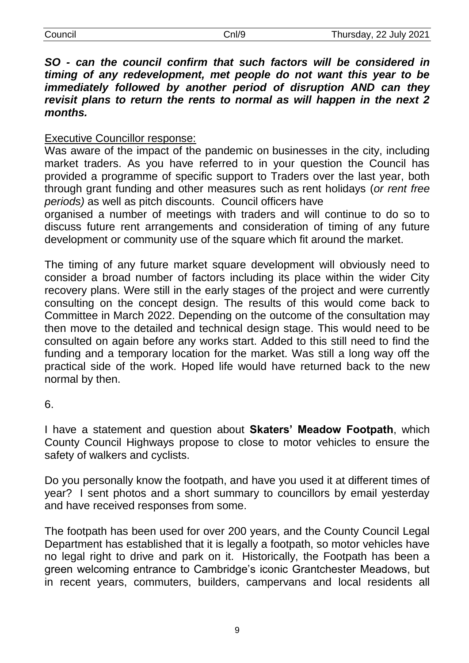*SO - can the council confirm that such factors will be considered in timing of any redevelopment, met people do not want this year to be immediately followed by another period of disruption AND can they revisit plans to return the rents to normal as will happen in the next 2 months.*

## Executive Councillor response:

Was aware of the impact of the pandemic on businesses in the city, including market traders. As you have referred to in your question the Council has provided a programme of specific support to Traders over the last year, both through grant funding and other measures such as rent holidays (*or rent free periods)* as well as pitch discounts. Council officers have

organised a number of meetings with traders and will continue to do so to discuss future rent arrangements and consideration of timing of any future development or community use of the square which fit around the market.

The timing of any future market square development will obviously need to consider a broad number of factors including its place within the wider City recovery plans. Were still in the early stages of the project and were currently consulting on the concept design. The results of this would come back to Committee in March 2022. Depending on the outcome of the consultation may then move to the detailed and technical design stage. This would need to be consulted on again before any works start. Added to this still need to find the funding and a temporary location for the market. Was still a long way off the practical side of the work. Hoped life would have returned back to the new normal by then.

6.

I have a statement and question about **Skaters' Meadow Footpath**, which County Council Highways propose to close to motor vehicles to ensure the safety of walkers and cyclists.

Do you personally know the footpath, and have you used it at different times of year? I sent photos and a short summary to councillors by email yesterday and have received responses from some.

The footpath has been used for over 200 years, and the County Council Legal Department has established that it is legally a footpath, so motor vehicles have no legal right to drive and park on it. Historically, the Footpath has been a green welcoming entrance to Cambridge's iconic Grantchester Meadows, but in recent years, commuters, builders, campervans and local residents all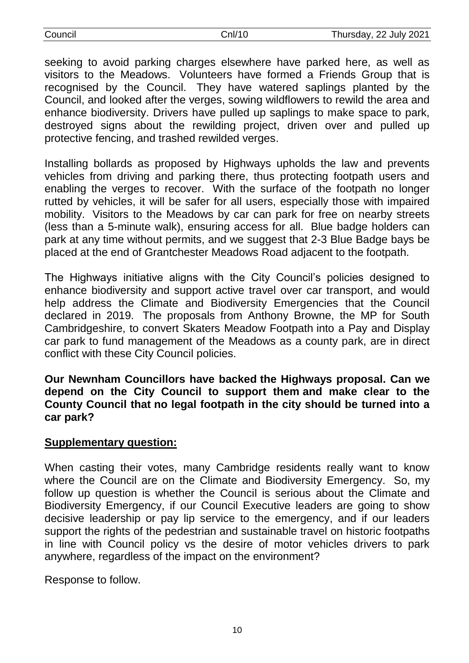| Council |  |
|---------|--|
|         |  |

seeking to avoid parking charges elsewhere have parked here, as well as visitors to the Meadows. Volunteers have formed a Friends Group that is recognised by the Council. They have watered saplings planted by the Council, and looked after the verges, sowing wildflowers to rewild the area and enhance biodiversity. Drivers have pulled up saplings to make space to park, destroyed signs about the rewilding project, driven over and pulled up protective fencing, and trashed rewilded verges.

Installing bollards as proposed by Highways upholds the law and prevents vehicles from driving and parking there, thus protecting footpath users and enabling the verges to recover. With the surface of the footpath no longer rutted by vehicles, it will be safer for all users, especially those with impaired mobility. Visitors to the Meadows by car can park for free on nearby streets (less than a 5-minute walk), ensuring access for all. Blue badge holders can park at any time without permits, and we suggest that 2-3 Blue Badge bays be placed at the end of Grantchester Meadows Road adjacent to the footpath.

The Highways initiative aligns with the City Council's policies designed to enhance biodiversity and support active travel over car transport, and would help address the Climate and Biodiversity Emergencies that the Council declared in 2019. The proposals from Anthony Browne, the MP for South Cambridgeshire, to convert Skaters Meadow Footpath into a Pay and Display car park to fund management of the Meadows as a county park, are in direct conflict with these City Council policies.

**Our Newnham Councillors have backed the Highways proposal. Can we depend on the City Council to support them and make clear to the County Council that no legal footpath in the city should be turned into a car park?**

#### **Supplementary question:**

When casting their votes, many Cambridge residents really want to know where the Council are on the Climate and Biodiversity Emergency. So, my follow up question is whether the Council is serious about the Climate and Biodiversity Emergency, if our Council Executive leaders are going to show decisive leadership or pay lip service to the emergency, and if our leaders support the rights of the pedestrian and sustainable travel on historic footpaths in line with Council policy vs the desire of motor vehicles drivers to park anywhere, regardless of the impact on the environment?

Response to follow.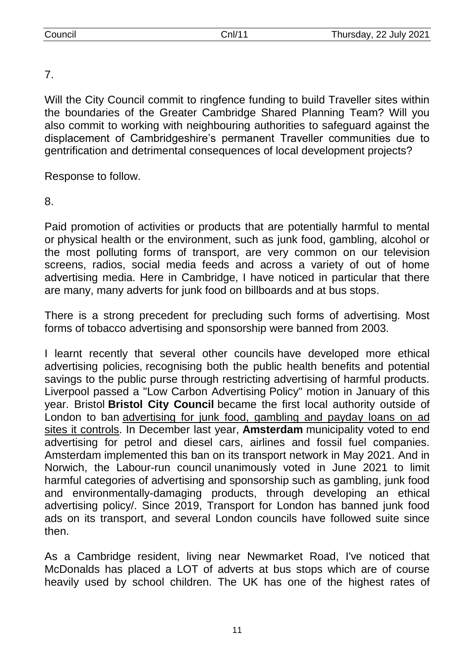## 7.

Will the City Council commit to ringfence funding to build Traveller sites within the boundaries of the Greater Cambridge Shared Planning Team? Will you also commit to working with neighbouring authorities to safeguard against the displacement of Cambridgeshire's permanent Traveller communities due to gentrification and detrimental consequences of local development projects?

Response to follow.

8.

Paid promotion of activities or products that are potentially harmful to mental or physical health or the environment, such as junk food, gambling, alcohol or the most polluting forms of transport, are very common on our television screens, radios, social media feeds and across a variety of out of home advertising media. Here in Cambridge, I have noticed in particular that there are many, many adverts for junk food on billboards and at bus stops.

There is a strong precedent for precluding such forms of advertising. Most forms of tobacco advertising and sponsorship were banned from 2003.

I learnt recently that several other councils have developed more ethical advertising policies, recognising both the public health benefits and potential savings to the public purse through restricting advertising of harmful products. Liverpool passed a "Low Carbon Advertising Policy" motion in January of this year. Bristol **Bristol City Council** became the first local authority outside of London to ban [advertising for junk food, gambling and payday loans on ad](https://protect-eu.mimecast.com/s/CdzjCXQmuM8BxAH6axne?domain=adfreecities.org.uk/)  [sites it controls.](https://protect-eu.mimecast.com/s/CdzjCXQmuM8BxAH6axne?domain=adfreecities.org.uk/) In December last year, **Amsterdam** municipality voted to end advertising for petrol and diesel cars, airlines and fossil fuel companies. Amsterdam implemented this ban on its transport network in May 2021. And in Norwich, the Labour-run council unanimously voted in June 2021 to limit harmful categories of advertising and sponsorship such as gambling, junk food and environmentally-damaging products, through developing an ethical advertising policy/. Since 2019, Transport for London has banned junk food ads on its transport, and several London councils have followed suite since then.

As a Cambridge resident, living near Newmarket Road, I've noticed that McDonalds has placed a LOT of adverts at bus stops which are of course heavily used by school children. The UK has one of the highest rates of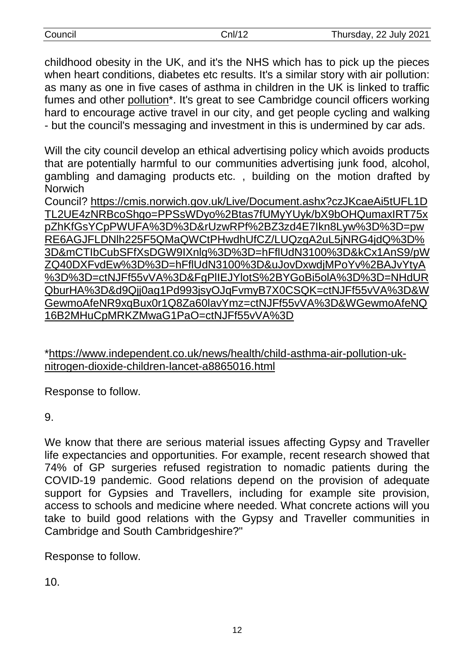| Council | Cnl/12 | Thursday, 22 July 2021 |
|---------|--------|------------------------|
|         |        |                        |

childhood obesity in the UK, and it's the NHS which has to pick up the pieces when heart conditions, diabetes etc results. It's a similar story with air pollution: as many as one in five cases of asthma in children in the UK is linked to traffic fumes and other [pollution\\*](https://protect-eu.mimecast.com/s/ieU7CY7of6nkzYuGEAEq?domain=independent.co.uk). It's great to see Cambridge council officers working hard to encourage active travel in our city, and get people cycling and walking - but the council's messaging and investment in this is undermined by car ads.

Will the city council develop an ethical advertising policy which avoids products that are potentially harmful to our communities advertising junk food, alcohol, gambling and damaging products etc. , building on the motion drafted by **Norwich** 

Council? [https://cmis.norwich.gov.uk/Live/Document.ashx?czJKcaeAi5tUFL1D](https://protect-eu.mimecast.com/s/2IX_CZ8qSokP3vCKlVcT?domain=cmis.norwich.gov.uk) [TL2UE4zNRBcoShgo=PPSsWDyo%2Btas7fUMyYUyk/bX9bOHQumaxIRT75x](https://protect-eu.mimecast.com/s/2IX_CZ8qSokP3vCKlVcT?domain=cmis.norwich.gov.uk) [pZhKfGsYCpPWUFA%3D%3D&rUzwRPf%2BZ3zd4E7Ikn8Lyw%3D%3D=pw](https://protect-eu.mimecast.com/s/2IX_CZ8qSokP3vCKlVcT?domain=cmis.norwich.gov.uk) [RE6AGJFLDNlh225F5QMaQWCtPHwdhUfCZ/LUQzgA2uL5jNRG4jdQ%3D%](https://protect-eu.mimecast.com/s/2IX_CZ8qSokP3vCKlVcT?domain=cmis.norwich.gov.uk) [3D&mCTIbCubSFfXsDGW9IXnlg%3D%3D=hFflUdN3100%3D&kCx1AnS9/pW](https://protect-eu.mimecast.com/s/2IX_CZ8qSokP3vCKlVcT?domain=cmis.norwich.gov.uk) [ZQ40DXFvdEw%3D%3D=hFflUdN3100%3D&uJovDxwdjMPoYv%2BAJvYtyA](https://protect-eu.mimecast.com/s/2IX_CZ8qSokP3vCKlVcT?domain=cmis.norwich.gov.uk) [%3D%3D=ctNJFf55vVA%3D&FgPlIEJYlotS%2BYGoBi5olA%3D%3D=NHdUR](https://protect-eu.mimecast.com/s/2IX_CZ8qSokP3vCKlVcT?domain=cmis.norwich.gov.uk) [QburHA%3D&d9Qjj0ag1Pd993jsyOJqFvmyB7X0CSQK=ctNJFf55vVA%3D&W](https://protect-eu.mimecast.com/s/2IX_CZ8qSokP3vCKlVcT?domain=cmis.norwich.gov.uk) [GewmoAfeNR9xqBux0r1Q8Za60lavYmz=ctNJFf55vVA%3D&WGewmoAfeNQ](https://protect-eu.mimecast.com/s/2IX_CZ8qSokP3vCKlVcT?domain=cmis.norwich.gov.uk) [16B2MHuCpMRKZMwaG1PaO=ctNJFf55vVA%3D](https://protect-eu.mimecast.com/s/2IX_CZ8qSokP3vCKlVcT?domain=cmis.norwich.gov.uk)

[\\*https://www.independent.co.uk/news/health/child-asthma-air-pollution-uk](https://protect-eu.mimecast.com/s/lcfFC16xtEPn7gCXaTOB?domain=independent.co.uk)[nitrogen-dioxide-children-lancet-a8865016.html](https://protect-eu.mimecast.com/s/lcfFC16xtEPn7gCXaTOB?domain=independent.co.uk)

Response to follow.

9.

We know that there are serious material issues affecting Gypsy and Traveller life expectancies and opportunities. For example, recent research showed that 74% of GP surgeries refused registration to nomadic patients during the COVID-19 pandemic. Good relations depend on the provision of adequate support for Gypsies and Travellers, including for example site provision, access to schools and medicine where needed. What concrete actions will you take to build good relations with the Gypsy and Traveller communities in Cambridge and South Cambridgeshire?"

Response to follow.

10.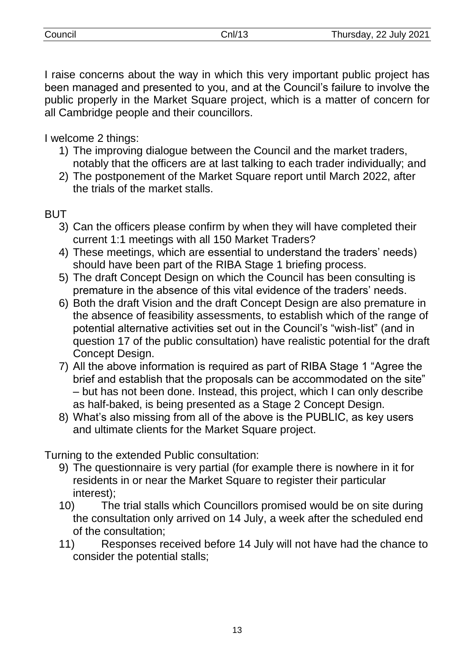I raise concerns about the way in which this very important public project has been managed and presented to you, and at the Council's failure to involve the public properly in the Market Square project, which is a matter of concern for all Cambridge people and their councillors.

I welcome 2 things:

- 1) The improving dialogue between the Council and the market traders, notably that the officers are at last talking to each trader individually; and
- 2) The postponement of the Market Square report until March 2022, after the trials of the market stalls.

# **BUT**

- 3) Can the officers please confirm by when they will have completed their current 1:1 meetings with all 150 Market Traders?
- 4) These meetings, which are essential to understand the traders' needs) should have been part of the RIBA Stage 1 briefing process.
- 5) The draft Concept Design on which the Council has been consulting is premature in the absence of this vital evidence of the traders' needs.
- 6) Both the draft Vision and the draft Concept Design are also premature in the absence of feasibility assessments, to establish which of the range of potential alternative activities set out in the Council's "wish-list" (and in question 17 of the public consultation) have realistic potential for the draft Concept Design.
- 7) All the above information is required as part of RIBA Stage 1 "Agree the brief and establish that the proposals can be accommodated on the site" – but has not been done. Instead, this project, which I can only describe as half-baked, is being presented as a Stage 2 Concept Design.
- 8) What's also missing from all of the above is the PUBLIC, as key users and ultimate clients for the Market Square project.

Turning to the extended Public consultation:

- 9) The questionnaire is very partial (for example there is nowhere in it for residents in or near the Market Square to register their particular interest);
- 10) The trial stalls which Councillors promised would be on site during the consultation only arrived on 14 July, a week after the scheduled end of the consultation;
- 11) Responses received before 14 July will not have had the chance to consider the potential stalls;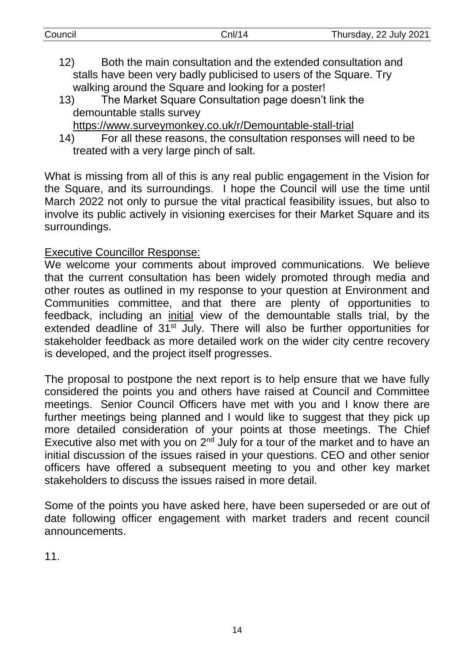| Both the main consultation and the extended consultation and<br>12)                |
|------------------------------------------------------------------------------------|
|                                                                                    |
| stalls have been very badly publicised to users of the Square. Try                 |
| walking around the Square and looking for a poster!                                |
| The Market Square Consultation page doesn't link the<br>13)                        |
| demountable stalls survey                                                          |
| https://www.surveymonkey.co.uk/r/Demountable-stall-trial                           |
| For all these reasons, the consultation responses will need to be<br>14)           |
| treated with a very large pinch of salt.                                           |
|                                                                                    |
| What is missing from all of this is any real public engagement in the Vision for   |
| the Square, and its surroundings. I hope the Council will use the time until       |
| March 2022 not only to pursue the vital practical feasibility issues, but also to  |
| involve its public actively in visioning exercises for their Market Square and its |
|                                                                                    |

Council Cnl/14 Thursday, 22 July 2021

Executive Councillor Response:

surroundings.

We welcome your comments about improved communications. We believe that the current consultation has been widely promoted through media and other routes as outlined in my response to your question at Environment and Communities committee, and that there are plenty of opportunities to feedback, including an initial view of the demountable stalls trial, by the extended deadline of 31<sup>st</sup> July. There will also be further opportunities for stakeholder feedback as more detailed work on the wider city centre recovery is developed, and the project itself progresses.

The proposal to postpone the next report is to help ensure that we have fully considered the points you and others have raised at Council and Committee meetings. Senior Council Officers have met with you and I know there are further meetings being planned and I would like to suggest that they pick up more detailed consideration of your points at those meetings. The Chief Executive also met with you on  $2<sup>nd</sup>$  July for a tour of the market and to have an initial discussion of the issues raised in your questions. CEO and other senior officers have offered a subsequent meeting to you and other key market stakeholders to discuss the issues raised in more detail.

Some of the points you have asked here, have been superseded or are out of date following officer engagement with market traders and recent council announcements.

11.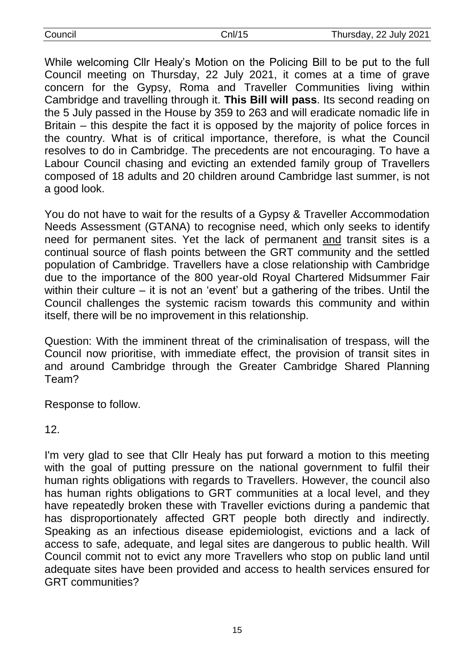| Council | Cnl/15 |
|---------|--------|
|         |        |

While welcoming Cllr Healy's Motion on the Policing Bill to be put to the full Council meeting on Thursday, 22 July 2021, it comes at a time of grave concern for the Gypsy, Roma and Traveller Communities living within Cambridge and travelling through it. **This Bill will pass**. Its second reading on the 5 July passed in the House by 359 to 263 and will eradicate nomadic life in Britain – this despite the fact it is opposed by the majority of police forces in the country. What is of critical importance, therefore, is what the Council resolves to do in Cambridge. The precedents are not encouraging. To have a Labour Council chasing and evicting an extended family group of Travellers composed of 18 adults and 20 children around Cambridge last summer, is not a good look.

You do not have to wait for the results of a Gypsy & Traveller Accommodation Needs Assessment (GTANA) to recognise need, which only seeks to identify need for permanent sites. Yet the lack of permanent and transit sites is a continual source of flash points between the GRT community and the settled population of Cambridge. Travellers have a close relationship with Cambridge due to the importance of the 800 year-old Royal Chartered Midsummer Fair within their culture – it is not an 'event' but a gathering of the tribes. Until the Council challenges the systemic racism towards this community and within itself, there will be no improvement in this relationship.

Question: With the imminent threat of the criminalisation of trespass, will the Council now prioritise, with immediate effect, the provision of transit sites in and around Cambridge through the Greater Cambridge Shared Planning Team?

Response to follow.

12.

I'm very glad to see that Cllr Healy has put forward a motion to this meeting with the goal of putting pressure on the national government to fulfil their human rights obligations with regards to Travellers. However, the council also has human rights obligations to GRT communities at a local level, and they have repeatedly broken these with Traveller evictions during a pandemic that has disproportionately affected GRT people both directly and indirectly. Speaking as an infectious disease epidemiologist, evictions and a lack of access to safe, adequate, and legal sites are dangerous to public health. Will Council commit not to evict any more Travellers who stop on public land until adequate sites have been provided and access to health services ensured for GRT communities?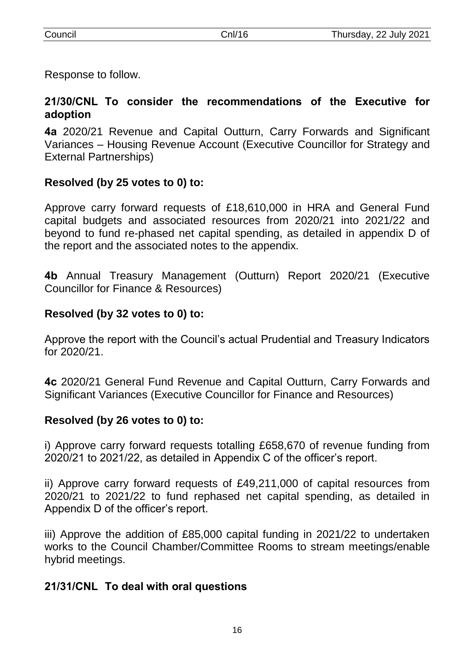Response to follow.

## **21/30/CNL To consider the recommendations of the Executive for adoption**

**4a** 2020/21 Revenue and Capital Outturn, Carry Forwards and Significant Variances – Housing Revenue Account (Executive Councillor for Strategy and External Partnerships)

## **Resolved (by 25 votes to 0) to:**

Approve carry forward requests of £18,610,000 in HRA and General Fund capital budgets and associated resources from 2020/21 into 2021/22 and beyond to fund re-phased net capital spending, as detailed in appendix D of the report and the associated notes to the appendix.

**4b** Annual Treasury Management (Outturn) Report 2020/21 (Executive Councillor for Finance & Resources)

## **Resolved (by 32 votes to 0) to:**

Approve the report with the Council's actual Prudential and Treasury Indicators for 2020/21.

**4c** 2020/21 General Fund Revenue and Capital Outturn, Carry Forwards and Significant Variances (Executive Councillor for Finance and Resources)

## **Resolved (by 26 votes to 0) to:**

i) Approve carry forward requests totalling £658,670 of revenue funding from 2020/21 to 2021/22, as detailed in Appendix C of the officer's report.

ii) Approve carry forward requests of £49,211,000 of capital resources from 2020/21 to 2021/22 to fund rephased net capital spending, as detailed in Appendix D of the officer's report.

iii) Approve the addition of £85,000 capital funding in 2021/22 to undertaken works to the Council Chamber/Committee Rooms to stream meetings/enable hybrid meetings.

## **21/31/CNL To deal with oral questions**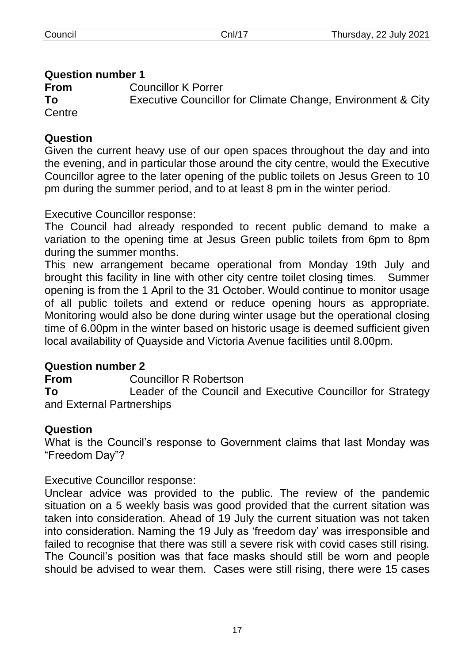## **Question number 1**

**From** Councillor K Porrer

**To** Executive Councillor for Climate Change, Environment & City **Centre** 

## **Question**

Given the current heavy use of our open spaces throughout the day and into the evening, and in particular those around the city centre, would the Executive Councillor agree to the later opening of the public toilets on Jesus Green to 10 pm during the summer period, and to at least 8 pm in the winter period.

Executive Councillor response:

The Council had already responded to recent public demand to make a variation to the opening time at Jesus Green public toilets from 6pm to 8pm during the summer months.

This new arrangement became operational from Monday 19th July and brought this facility in line with other city centre toilet closing times. Summer opening is from the 1 April to the 31 October. Would continue to monitor usage of all public toilets and extend or reduce opening hours as appropriate. Monitoring would also be done during winter usage but the operational closing time of 6.00pm in the winter based on historic usage is deemed sufficient given local availability of Quayside and Victoria Avenue facilities until 8.00pm.

## **Question number 2**

**From** Councillor R Robertson

**To** Leader of the Council and Executive Councillor for Strategy and External Partnerships

## **Question**

What is the Council's response to Government claims that last Monday was "Freedom Day"?

Executive Councillor response:

Unclear advice was provided to the public. The review of the pandemic situation on a 5 weekly basis was good provided that the current sitation was taken into consideration. Ahead of 19 July the current situation was not taken into consideration. Naming the 19 July as 'freedom day' was irresponsible and failed to recognise that there was still a severe risk with covid cases still rising. The Council's position was that face masks should still be worn and people should be advised to wear them. Cases were still rising, there were 15 cases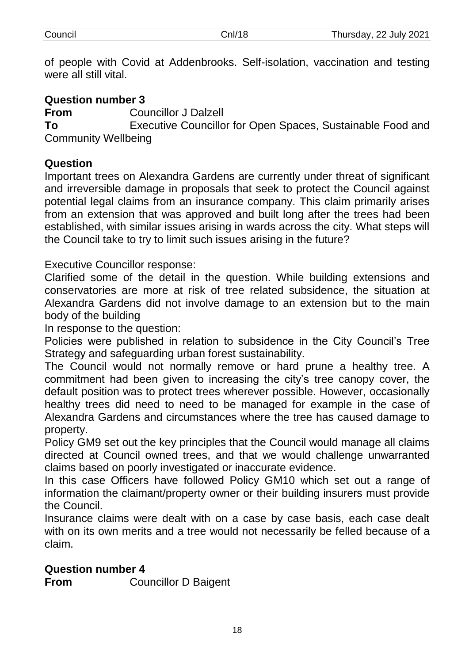of people with Covid at Addenbrooks. Self-isolation, vaccination and testing were all still vital.

## **Question number 3 From** Councillor J Dalzell **To** Executive Councillor for Open Spaces, Sustainable Food and Community Wellbeing

#### **Question**

Important trees on Alexandra Gardens are currently under threat of significant and irreversible damage in proposals that seek to protect the Council against potential legal claims from an insurance company. This claim primarily arises from an extension that was approved and built long after the trees had been established, with similar issues arising in wards across the city. What steps will the Council take to try to limit such issues arising in the future?

Executive Councillor response:

Clarified some of the detail in the question. While building extensions and conservatories are more at risk of tree related subsidence, the situation at Alexandra Gardens did not involve damage to an extension but to the main body of the building

In response to the question:

Policies were published in relation to subsidence in the City Council's Tree Strategy and safeguarding urban forest sustainability.

The Council would not normally remove or hard prune a healthy tree. A commitment had been given to increasing the city's tree canopy cover, the default position was to protect trees wherever possible. However, occasionally healthy trees did need to need to be managed for example in the case of Alexandra Gardens and circumstances where the tree has caused damage to property.

Policy GM9 set out the key principles that the Council would manage all claims directed at Council owned trees, and that we would challenge unwarranted claims based on poorly investigated or inaccurate evidence.

In this case Officers have followed Policy GM10 which set out a range of information the claimant/property owner or their building insurers must provide the Council.

Insurance claims were dealt with on a case by case basis, each case dealt with on its own merits and a tree would not necessarily be felled because of a claim.

#### **Question number 4**

**From** Councillor D Baigent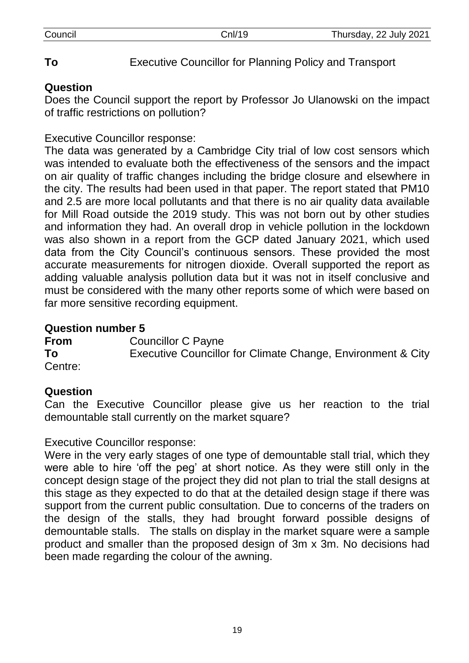# **To** Executive Councillor for Planning Policy and Transport

## **Question**

Does the Council support the report by Professor Jo Ulanowski on the impact of traffic restrictions on pollution?

## Executive Councillor response:

The data was generated by a Cambridge City trial of low cost sensors which was intended to evaluate both the effectiveness of the sensors and the impact on air quality of traffic changes including the bridge closure and elsewhere in the city. The results had been used in that paper. The report stated that PM10 and 2.5 are more local pollutants and that there is no air quality data available for Mill Road outside the 2019 study. This was not born out by other studies and information they had. An overall drop in vehicle pollution in the lockdown was also shown in a report from the GCP dated January 2021, which used data from the City Council's continuous sensors. These provided the most accurate measurements for nitrogen dioxide. Overall supported the report as adding valuable analysis pollution data but it was not in itself conclusive and must be considered with the many other reports some of which were based on far more sensitive recording equipment.

## **Question number 5**

**From** Councillor C Payne **To** Executive Councillor for Climate Change, Environment & City Centre:

## **Question**

Can the Executive Councillor please give us her reaction to the trial demountable stall currently on the market square?

## Executive Councillor response:

Were in the very early stages of one type of demountable stall trial, which they were able to hire 'off the peg' at short notice. As they were still only in the concept design stage of the project they did not plan to trial the stall designs at this stage as they expected to do that at the detailed design stage if there was support from the current public consultation. Due to concerns of the traders on the design of the stalls, they had brought forward possible designs of demountable stalls. The stalls on display in the market square were a sample product and smaller than the proposed design of 3m x 3m. No decisions had been made regarding the colour of the awning.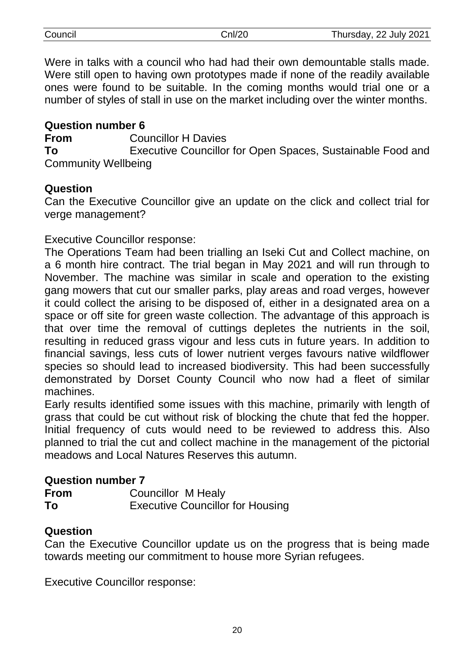| Council | Cnl/20 | Thursday, 22 July 2021 |
|---------|--------|------------------------|
|         |        |                        |

Were in talks with a council who had had their own demountable stalls made. Were still open to having own prototypes made if none of the readily available ones were found to be suitable. In the coming months would trial one or a number of styles of stall in use on the market including over the winter months.

#### **Question number 6**

**From** Councillor H Davies

**To** Executive Councillor for Open Spaces, Sustainable Food and Community Wellbeing

#### **Question**

Can the Executive Councillor give an update on the click and collect trial for verge management?

#### Executive Councillor response:

The Operations Team had been trialling an Iseki Cut and Collect machine, on a 6 month hire contract. The trial began in May 2021 and will run through to November. The machine was similar in scale and operation to the existing gang mowers that cut our smaller parks, play areas and road verges, however it could collect the arising to be disposed of, either in a designated area on a space or off site for green waste collection. The advantage of this approach is that over time the removal of cuttings depletes the nutrients in the soil, resulting in reduced grass vigour and less cuts in future years. In addition to financial savings, less cuts of lower nutrient verges favours native wildflower species so should lead to increased biodiversity. This had been successfully demonstrated by Dorset County Council who now had a fleet of similar machines.

Early results identified some issues with this machine, primarily with length of grass that could be cut without risk of blocking the chute that fed the hopper. Initial frequency of cuts would need to be reviewed to address this. Also planned to trial the cut and collect machine in the management of the pictorial meadows and Local Natures Reserves this autumn.

#### **Question number 7**

| <b>From</b> | <b>Councillor M Healy</b>               |
|-------------|-----------------------------------------|
| To          | <b>Executive Councillor for Housing</b> |

#### **Question**

Can the Executive Councillor update us on the progress that is being made towards meeting our commitment to house more Syrian refugees.

Executive Councillor response: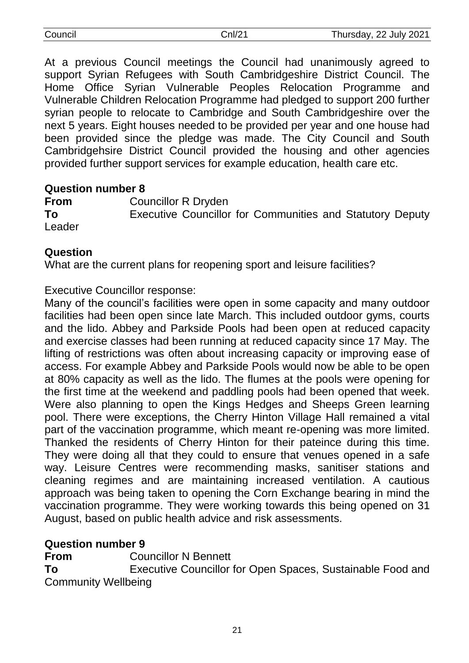| Council |  |
|---------|--|
|         |  |

At a previous Council meetings the Council had unanimously agreed to support Syrian Refugees with South Cambridgeshire District Council. The Home Office Syrian Vulnerable Peoples Relocation Programme and Vulnerable Children Relocation Programme had pledged to support 200 further syrian people to relocate to Cambridge and South Cambridgeshire over the next 5 years. Eight houses needed to be provided per year and one house had been provided since the pledge was made. The City Council and South Cambridgehsire District Council provided the housing and other agencies provided further support services for example education, health care etc.

#### **Question number 8**

**From** Councillor R Dryden **To** Executive Councillor for Communities and Statutory Deputy Leader

#### **Question**

What are the current plans for reopening sport and leisure facilities?

Executive Councillor response:

Many of the council's facilities were open in some capacity and many outdoor facilities had been open since late March. This included outdoor gyms, courts and the lido. Abbey and Parkside Pools had been open at reduced capacity and exercise classes had been running at reduced capacity since 17 May. The lifting of restrictions was often about increasing capacity or improving ease of access. For example Abbey and Parkside Pools would now be able to be open at 80% capacity as well as the lido. The flumes at the pools were opening for the first time at the weekend and paddling pools had been opened that week. Were also planning to open the Kings Hedges and Sheeps Green learning pool. There were exceptions, the Cherry Hinton Village Hall remained a vital part of the vaccination programme, which meant re-opening was more limited. Thanked the residents of Cherry Hinton for their pateince during this time. They were doing all that they could to ensure that venues opened in a safe way. Leisure Centres were recommending masks, sanitiser stations and cleaning regimes and are maintaining increased ventilation. A cautious approach was being taken to opening the Corn Exchange bearing in mind the vaccination programme. They were working towards this being opened on 31 August, based on public health advice and risk assessments.

#### **Question number 9**

**From** Councillor N Bennett **To** Executive Councillor for Open Spaces, Sustainable Food and Community Wellbeing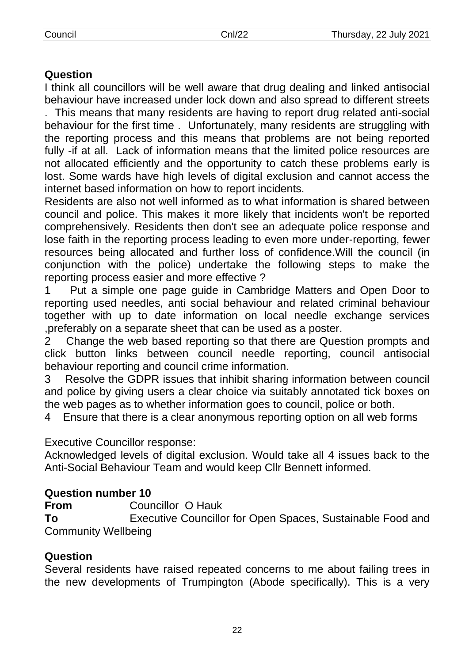## **Question**

I think all councillors will be well aware that drug dealing and linked antisocial behaviour have increased under lock down and also spread to different streets

. This means that many residents are having to report drug related anti-social behaviour for the first time . Unfortunately, many residents are struggling with the reporting process and this means that problems are not being reported fully -if at all. Lack of information means that the limited police resources are not allocated efficiently and the opportunity to catch these problems early is lost. Some wards have high levels of digital exclusion and cannot access the internet based information on how to report incidents.

Residents are also not well informed as to what information is shared between council and police. This makes it more likely that incidents won't be reported comprehensively. Residents then don't see an adequate police response and lose faith in the reporting process leading to even more under-reporting, fewer resources being allocated and further loss of confidence.Will the council (in conjunction with the police) undertake the following steps to make the reporting process easier and more effective ?

1 Put a simple one page guide in Cambridge Matters and Open Door to reporting used needles, anti social behaviour and related criminal behaviour together with up to date information on local needle exchange services ,preferably on a separate sheet that can be used as a poster.

2 Change the web based reporting so that there are Question prompts and click button links between council needle reporting, council antisocial behaviour reporting and council crime information.

3 Resolve the GDPR issues that inhibit sharing information between council and police by giving users a clear choice via suitably annotated tick boxes on the web pages as to whether information goes to council, police or both.

4 Ensure that there is a clear anonymous reporting option on all web forms

Executive Councillor response:

Acknowledged levels of digital exclusion. Would take all 4 issues back to the Anti-Social Behaviour Team and would keep Cllr Bennett informed.

## **Question number 10**

**From** Councillor O Hauk

**To** Executive Councillor for Open Spaces, Sustainable Food and Community Wellbeing

#### **Question**

Several residents have raised repeated concerns to me about failing trees in the new developments of Trumpington (Abode specifically). This is a very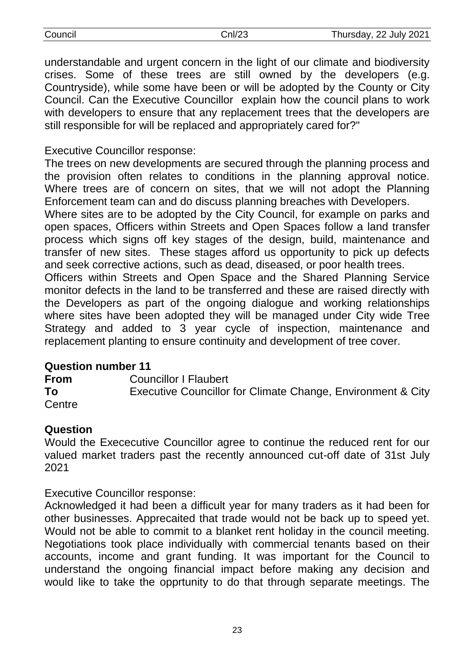| Council | Cnl/23 | Thursday, 22 July 2021 |
|---------|--------|------------------------|
|         |        |                        |

understandable and urgent concern in the light of our climate and biodiversity crises. Some of these trees are still owned by the developers (e.g. Countryside), while some have been or will be adopted by the County or City Council. Can the Executive Councillor explain how the council plans to work with developers to ensure that any replacement trees that the developers are still responsible for will be replaced and appropriately cared for?"

## Executive Councillor response:

The trees on new developments are secured through the planning process and the provision often relates to conditions in the planning approval notice. Where trees are of concern on sites, that we will not adopt the Planning Enforcement team can and do discuss planning breaches with Developers.

Where sites are to be adopted by the City Council, for example on parks and open spaces, Officers within Streets and Open Spaces follow a land transfer process which signs off key stages of the design, build, maintenance and transfer of new sites. These stages afford us opportunity to pick up defects and seek corrective actions, such as dead, diseased, or poor health trees.

Officers within Streets and Open Space and the Shared Planning Service monitor defects in the land to be transferred and these are raised directly with the Developers as part of the ongoing dialogue and working relationships where sites have been adopted they will be managed under City wide Tree Strategy and added to 3 year cycle of inspection, maintenance and replacement planting to ensure continuity and development of tree cover.

#### **Question number 11**

**From** Councillor I Flaubert **To** Executive Councillor for Climate Change, Environment & City Centre

#### **Question**

Would the Exececutive Councillor agree to continue the reduced rent for our valued market traders past the recently announced cut-off date of 31st July 2021

Executive Councillor response:

Acknowledged it had been a difficult year for many traders as it had been for other businesses. Apprecaited that trade would not be back up to speed yet. Would not be able to commit to a blanket rent holiday in the council meeting. Negotiations took place individually with commercial tenants based on their accounts, income and grant funding. It was important for the Council to understand the ongoing financial impact before making any decision and would like to take the opprtunity to do that through separate meetings. The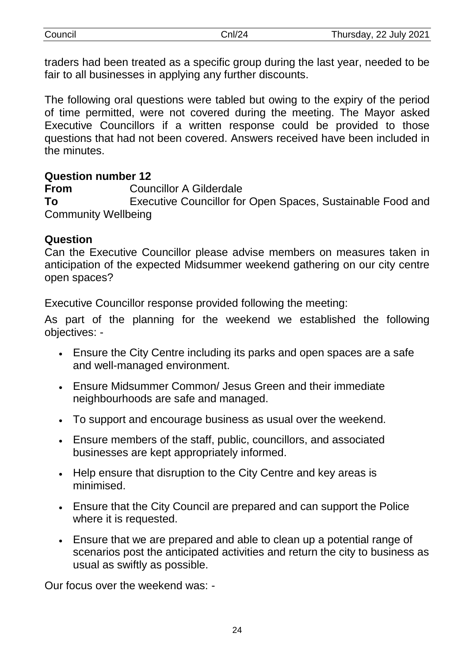| Council | n/24 | Thursday, 22 July 2021 |
|---------|------|------------------------|
|         |      |                        |

traders had been treated as a specific group during the last year, needed to be fair to all businesses in applying any further discounts.

The following oral questions were tabled but owing to the expiry of the period of time permitted, were not covered during the meeting. The Mayor asked Executive Councillors if a written response could be provided to those questions that had not been covered. Answers received have been included in the minutes.

#### **Question number 12**

**From** Councillor A Gilderdale **To** Executive Councillor for Open Spaces, Sustainable Food and Community Wellbeing

#### **Question**

Can the Executive Councillor please advise members on measures taken in anticipation of the expected Midsummer weekend gathering on our city centre open spaces?

Executive Councillor response provided following the meeting:

As part of the planning for the weekend we established the following objectives: -

- Ensure the City Centre including its parks and open spaces are a safe and well-managed environment.
- Ensure Midsummer Common/ Jesus Green and their immediate neighbourhoods are safe and managed.
- To support and encourage business as usual over the weekend.
- Ensure members of the staff, public, councillors, and associated businesses are kept appropriately informed.
- Help ensure that disruption to the City Centre and key areas is minimised.
- Ensure that the City Council are prepared and can support the Police where it is requested.
- Ensure that we are prepared and able to clean up a potential range of scenarios post the anticipated activities and return the city to business as usual as swiftly as possible.

Our focus over the weekend was: -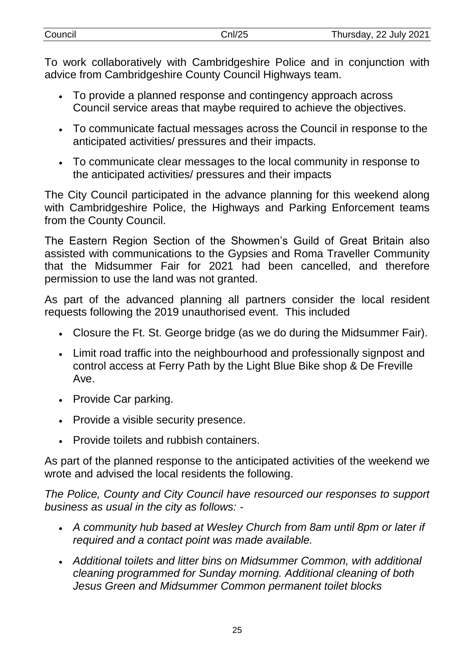| Council | Cnl/25 | Thursday, 22 July 2021 |
|---------|--------|------------------------|
|         |        |                        |

To work collaboratively with Cambridgeshire Police and in conjunction with advice from Cambridgeshire County Council Highways team.

- To provide a planned response and contingency approach across Council service areas that maybe required to achieve the objectives.
- To communicate factual messages across the Council in response to the anticipated activities/ pressures and their impacts.
- To communicate clear messages to the local community in response to the anticipated activities/ pressures and their impacts

The City Council participated in the advance planning for this weekend along with Cambridgeshire Police, the Highways and Parking Enforcement teams from the County Council.

The Eastern Region Section of the Showmen's Guild of Great Britain also assisted with communications to the Gypsies and Roma Traveller Community that the Midsummer Fair for 2021 had been cancelled, and therefore permission to use the land was not granted.

As part of the advanced planning all partners consider the local resident requests following the 2019 unauthorised event. This included

- Closure the Ft. St. George bridge (as we do during the Midsummer Fair).
- Limit road traffic into the neighbourhood and professionally signpost and control access at Ferry Path by the Light Blue Bike shop & De Freville Ave.
- Provide Car parking.
- Provide a visible security presence.
- Provide toilets and rubbish containers.

As part of the planned response to the anticipated activities of the weekend we wrote and advised the local residents the following.

*The Police, County and City Council have resourced our responses to support business as usual in the city as follows: -*

- *A community hub based at Wesley Church from 8am until 8pm or later if required and a contact point was made available.*
- *Additional toilets and litter bins on Midsummer Common, with additional cleaning programmed for Sunday morning. Additional cleaning of both Jesus Green and Midsummer Common permanent toilet blocks*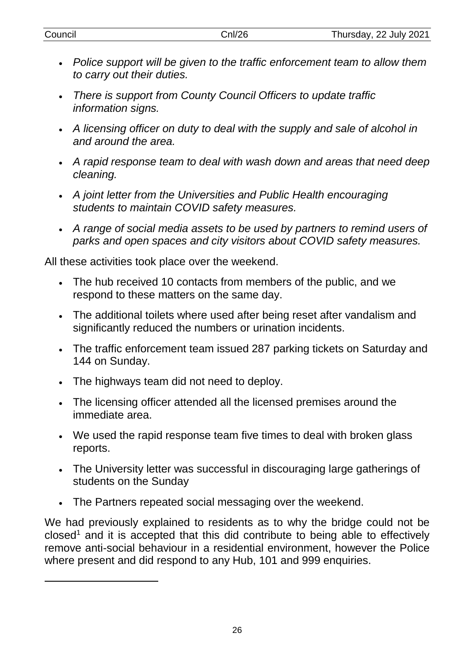| Council | Cnl/26 | Thursday, 22 July 2021 |
|---------|--------|------------------------|
|         |        |                        |

- *Police support will be given to the traffic enforcement team to allow them to carry out their duties.*
- *There is support from County Council Officers to update traffic information signs.*
- *A licensing officer on duty to deal with the supply and sale of alcohol in and around the area.*
- *A rapid response team to deal with wash down and areas that need deep cleaning.*
- *A joint letter from the Universities and Public Health encouraging students to maintain COVID safety measures.*
- *A range of social media assets to be used by partners to remind users of parks and open spaces and city visitors about COVID safety measures.*

All these activities took place over the weekend.

- The hub received 10 contacts from members of the public, and we respond to these matters on the same day.
- The additional toilets where used after being reset after vandalism and significantly reduced the numbers or urination incidents.
- The traffic enforcement team issued 287 parking tickets on Saturday and 144 on Sunday.
- The highways team did not need to deploy.

-

- The licensing officer attended all the licensed premises around the immediate area.
- We used the rapid response team five times to deal with broken glass reports.
- The University letter was successful in discouraging large gatherings of students on the Sunday
- The Partners repeated social messaging over the weekend.

We had previously explained to residents as to why the bridge could not be  $closed<sup>1</sup>$  and it is accepted that this did contribute to being able to effectively remove anti-social behaviour in a residential environment, however the Police where present and did respond to any Hub, 101 and 999 enquiries.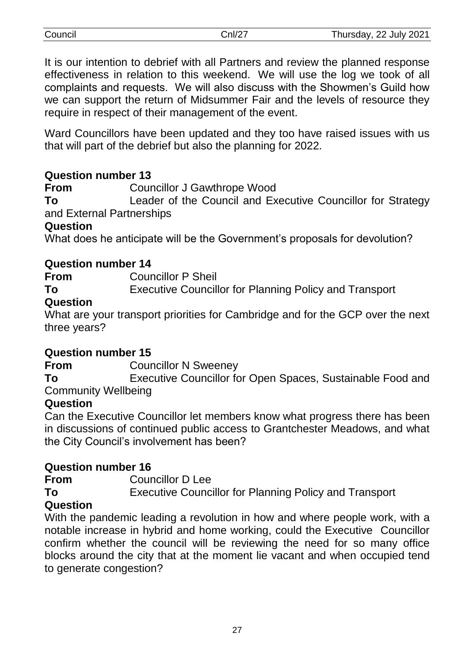| Council | Cnl/27 | Thursday, 22 July 2021 |
|---------|--------|------------------------|
|---------|--------|------------------------|

It is our intention to debrief with all Partners and review the planned response effectiveness in relation to this weekend. We will use the log we took of all complaints and requests. We will also discuss with the Showmen's Guild how we can support the return of Midsummer Fair and the levels of resource they require in respect of their management of the event.

Ward Councillors have been updated and they too have raised issues with us that will part of the debrief but also the planning for 2022.

## **Question number 13**

**From** Councillor J Gawthrope Wood

**To** Leader of the Council and Executive Councillor for Strategy and External Partnerships

## **Question**

What does he anticipate will be the Government's proposals for devolution?

## **Question number 14**

**From** Councillor P Sheil

**To** Executive Councillor for Planning Policy and Transport

## **Question**

What are your transport priorities for Cambridge and for the GCP over the next three years?

## **Question number 15**

**From** Councillor N Sweeney

**To** Executive Councillor for Open Spaces, Sustainable Food and Community Wellbeing

## **Question**

Can the Executive Councillor let members know what progress there has been in discussions of continued public access to Grantchester Meadows, and what the City Council's involvement has been?

## **Question number 16**

**From** Councillor D Lee **To** Executive Councillor for Planning Policy and Transport

## **Question**

With the pandemic leading a revolution in how and where people work, with a notable increase in hybrid and home working, could the Executive Councillor confirm whether the council will be reviewing the need for so many office blocks around the city that at the moment lie vacant and when occupied tend to generate congestion?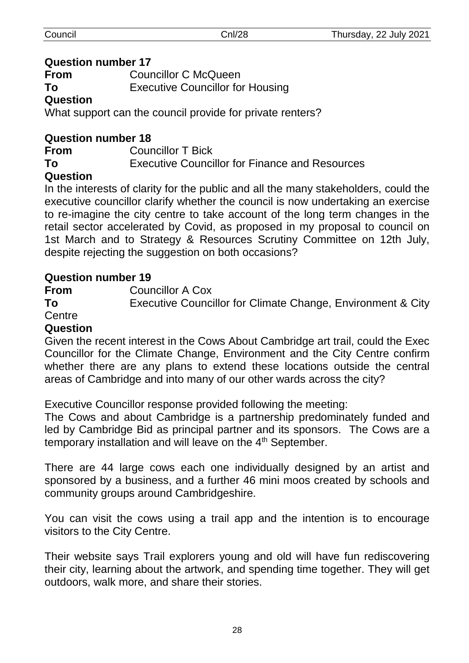#### **Question number 17**

**From** Councillor C McQueen

**To** Executive Councillor for Housing

## **Question**

What support can the council provide for private renters?

## **Question number 18**

**From** Councillor T Bick **To** Executive Councillor for Finance and Resources

## **Question**

In the interests of clarity for the public and all the many stakeholders, could the executive councillor clarify whether the council is now undertaking an exercise to re-imagine the city centre to take account of the long term changes in the retail sector accelerated by Covid, as proposed in my proposal to council on 1st March and to Strategy & Resources Scrutiny Committee on 12th July, despite rejecting the suggestion on both occasions?

## **Question number 19**

**From** Councillor A Cox

**To** Executive Councillor for Climate Change, Environment & City

#### Centre **Question**

Given the recent interest in the Cows About Cambridge art trail, could the Exec Councillor for the Climate Change, Environment and the City Centre confirm whether there are any plans to extend these locations outside the central areas of Cambridge and into many of our other wards across the city?

Executive Councillor response provided following the meeting:

The Cows and about Cambridge is a partnership predominately funded and led by Cambridge Bid as principal partner and its sponsors. The Cows are a temporary installation and will leave on the 4<sup>th</sup> September.

There are 44 large cows each one individually designed by an artist and sponsored by a business, and a further 46 mini moos created by schools and community groups around Cambridgeshire.

You can visit the cows using a trail app and the intention is to encourage visitors to the City Centre.

Their website says Trail explorers young and old will have fun rediscovering their city, learning about the artwork, and spending time together. They will get outdoors, walk more, and share their stories.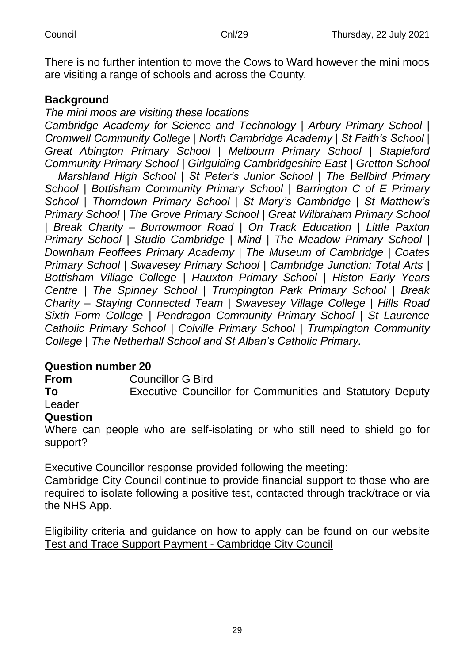There is no further intention to move the Cows to Ward however the mini moos are visiting a range of schools and across the County*.*

## **Background**

*The mini moos are visiting these locations*

*Cambridge Academy for Science and Technology | Arbury Primary School | Cromwell Community College | North Cambridge Academy | St Faith's School | Great Abington Primary School | Melbourn Primary School | Stapleford Community Primary School | Girlguiding Cambridgeshire East | Gretton School | Marshland High School | St Peter's Junior School | The Bellbird Primary School | Bottisham Community Primary School | Barrington C of E Primary School | Thorndown Primary School | St Mary's Cambridge | St Matthew's Primary School | The Grove Primary School | Great Wilbraham Primary School | Break Charity – Burrowmoor Road | On Track Education | Little Paxton Primary School | Studio Cambridge | Mind | The Meadow Primary School | Downham Feoffees Primary Academy | The Museum of Cambridge | Coates Primary School | Swavesey Primary School | Cambridge Junction: Total Arts | Bottisham Village College | Hauxton Primary School | Histon Early Years Centre | The Spinney School | Trumpington Park Primary School | Break Charity – Staying Connected Team | Swavesey Village College | Hills Road Sixth Form College | Pendragon Community Primary School | St Laurence Catholic Primary School | Colville Primary School | Trumpington Community College | The Netherhall School and St Alban's Catholic Primary.*

#### **Question number 20**

**From** Councillor G Bird

**To** Executive Councillor for Communities and Statutory Deputy Leader

#### **Question**

Where can people who are self-isolating or who still need to shield go for support?

Executive Councillor response provided following the meeting:

Cambridge City Council continue to provide financial support to those who are required to isolate following a positive test, contacted through track/trace or via the NHS App.

Eligibility criteria and guidance on how to apply can be found on our website [Test and Trace Support Payment -](https://www.cambridge.gov.uk/test-and-trace-support-payment) Cambridge City Council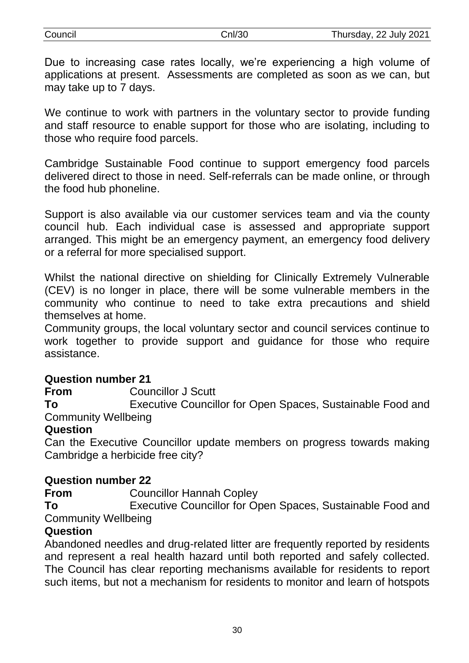| Council | Cnl/30 | Thursday, 22 July 2021 |
|---------|--------|------------------------|
|         |        |                        |

Due to increasing case rates locally, we're experiencing a high volume of applications at present. Assessments are completed as soon as we can, but may take up to 7 days.

We continue to work with partners in the voluntary sector to provide funding and staff resource to enable support for those who are isolating, including to those who require food parcels.

Cambridge Sustainable Food continue to support emergency food parcels delivered direct to those in need. Self-referrals can be made online, or through the food hub phoneline.

Support is also available via our customer services team and via the county council hub. Each individual case is assessed and appropriate support arranged. This might be an emergency payment, an emergency food delivery or a referral for more specialised support.

Whilst the national directive on shielding for Clinically Extremely Vulnerable (CEV) is no longer in place, there will be some vulnerable members in the community who continue to need to take extra precautions and shield themselves at home.

Community groups, the local voluntary sector and council services continue to work together to provide support and guidance for those who require assistance.

#### **Question number 21**

**From** Councillor J Scutt

**To** Executive Councillor for Open Spaces, Sustainable Food and Community Wellbeing

#### **Question**

Can the Executive Councillor update members on progress towards making Cambridge a herbicide free city?

#### **Question number 22**

**From** Councillor Hannah Copley

**To** Executive Councillor for Open Spaces, Sustainable Food and Community Wellbeing

## **Question**

Abandoned needles and drug-related litter are frequently reported by residents and represent a real health hazard until both reported and safely collected. The Council has clear reporting mechanisms available for residents to report such items, but not a mechanism for residents to monitor and learn of hotspots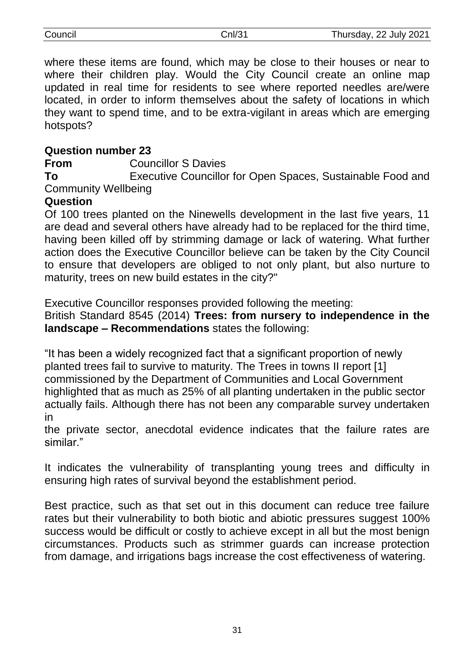where these items are found, which may be close to their houses or near to where their children play. Would the City Council create an online map updated in real time for residents to see where reported needles are/were located, in order to inform themselves about the safety of locations in which they want to spend time, and to be extra-vigilant in areas which are emerging hotspots?

## **Question number 23**

**From** Councillor S Davies

**To** Executive Councillor for Open Spaces, Sustainable Food and Community Wellbeing

#### **Question**

Of 100 trees planted on the Ninewells development in the last five years, 11 are dead and several others have already had to be replaced for the third time, having been killed off by strimming damage or lack of watering. What further action does the Executive Councillor believe can be taken by the City Council to ensure that developers are obliged to not only plant, but also nurture to maturity, trees on new build estates in the city?"

Executive Councillor responses provided following the meeting:

British Standard 8545 (2014) **Trees: from nursery to independence in the landscape – Recommendations** states the following:

"It has been a widely recognized fact that a significant proportion of newly planted trees fail to survive to maturity. The Trees in towns II report [1] commissioned by the Department of Communities and Local Government highlighted that as much as 25% of all planting undertaken in the public sector actually fails. Although there has not been any comparable survey undertaken in

the private sector, anecdotal evidence indicates that the failure rates are similar."

It indicates the vulnerability of transplanting young trees and difficulty in ensuring high rates of survival beyond the establishment period.

Best practice, such as that set out in this document can reduce tree failure rates but their vulnerability to both biotic and abiotic pressures suggest 100% success would be difficult or costly to achieve except in all but the most benign circumstances. Products such as strimmer guards can increase protection from damage, and irrigations bags increase the cost effectiveness of watering.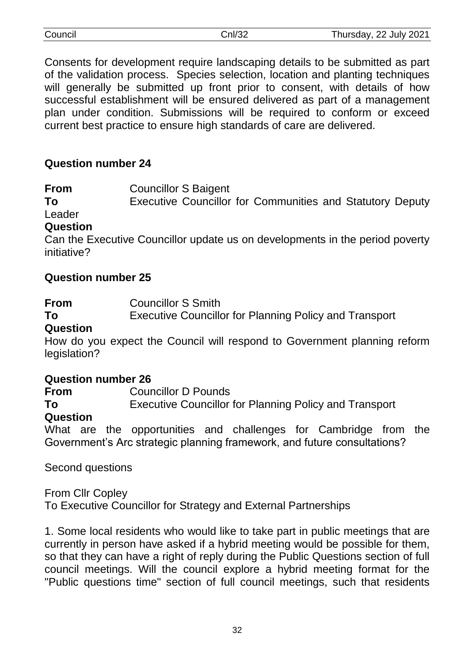| Council | Cnl/32 | Thursday, 22 July 2021 |
|---------|--------|------------------------|
|         |        |                        |

Consents for development require landscaping details to be submitted as part of the validation process. Species selection, location and planting techniques will generally be submitted up front prior to consent, with details of how successful establishment will be ensured delivered as part of a management plan under condition. Submissions will be required to conform or exceed current best practice to ensure high standards of care are delivered.

#### **Question number 24**

**From** Councillor S Baigent

**To** Executive Councillor for Communities and Statutory Deputy Leader

#### **Question**

Can the Executive Councillor update us on developments in the period poverty initiative?

#### **Question number 25**

**From** Councillor S Smith

**To** Executive Councillor for Planning Policy and Transport

#### **Question**

How do you expect the Council will respond to Government planning reform legislation?

#### **Question number 26**

**From** Councillor D Pounds

**To** Executive Councillor for Planning Policy and Transport

#### **Question**

What are the opportunities and challenges for Cambridge from the Government's Arc strategic planning framework, and future consultations?

Second questions

From Cllr Copley

To Executive Councillor for Strategy and External Partnerships

1. Some local residents who would like to take part in public meetings that are currently in person have asked if a hybrid meeting would be possible for them, so that they can have a right of reply during the Public Questions section of full council meetings. Will the council explore a hybrid meeting format for the "Public questions time" section of full council meetings, such that residents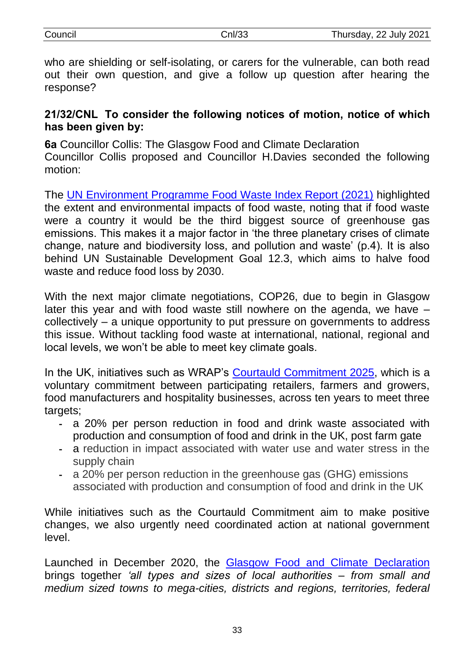response?

## **21/32/CNL To consider the following notices of motion, notice of which has been given by:**

**6a** Councillor Collis: The Glasgow Food and Climate Declaration Councillor Collis proposed and Councillor H.Davies seconded the following motion:

The [UN Environment Programme Food Waste Index Report \(2021\)](https://www.unep.org/resources/report/unep-food-waste-index-report-2021) highlighted the extent and environmental impacts of food waste, noting that if food waste were a country it would be the third biggest source of greenhouse gas emissions. This makes it a major factor in 'the three planetary crises of climate change, nature and biodiversity loss, and pollution and waste' (p.4). It is also behind UN Sustainable Development Goal 12.3, which aims to halve food waste and reduce food loss by 2030.

With the next major climate negotiations, COP26, due to begin in Glasgow later this year and with food waste still nowhere on the agenda, we have – collectively – a unique opportunity to put pressure on governments to address this issue. Without tackling food waste at international, national, regional and local levels, we won't be able to meet key climate goals.

In the UK, initiatives such as WRAP's [Courtauld Commitment 2025,](https://wrap.org.uk/taking-action/food-drink/initiatives/courtauld-commitment) which is a voluntary commitment between participating retailers, farmers and growers, food manufacturers and hospitality businesses, across ten years to meet three targets;

- a 20% per person reduction in food and drink waste associated with production and consumption of food and drink in the UK, post farm gate
- a reduction in impact associated with water use and water stress in the supply chain
- a 20% per person reduction in the greenhouse gas (GHG) emissions associated with production and consumption of food and drink in the UK

While initiatives such as the Courtauld Commitment aim to make positive changes, we also urgently need coordinated action at national government level.

Launched in December 2020, the [Glasgow Food and Climate Declaration](https://2ae0ff20-d9c8-4e34-a427-95229c7e180c.filesusr.com/ugd/31f564_844a2e58e94a439cab38beb97fe114fd.pdf) brings together *'all types and sizes of local authorities – from small and medium sized towns to mega-cities, districts and regions, territories, federal*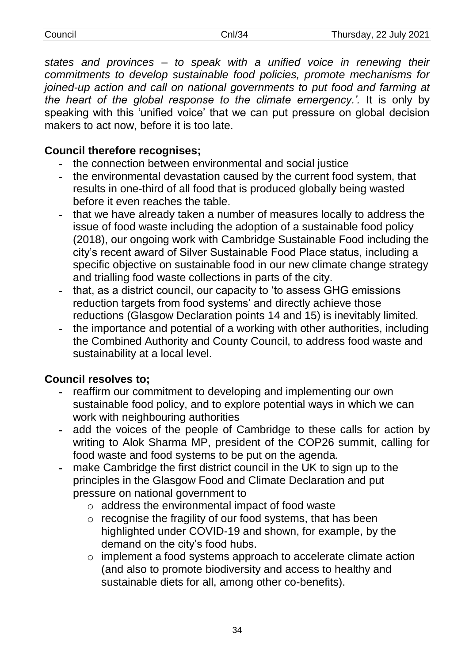| Council | Cnl/34 | Thursday, 22 July 2021 |
|---------|--------|------------------------|
|         |        |                        |

*states and provinces – to speak with a unified voice in renewing their commitments to develop sustainable food policies, promote mechanisms for joined-up action and call on national governments to put food and farming at the heart of the global response to the climate emergency.'.* It is only by speaking with this 'unified voice' that we can put pressure on global decision makers to act now, before it is too late.

## **Council therefore recognises;**

- the connection between environmental and social justice
- the environmental devastation caused by the current food system, that results in one-third of all food that is produced globally being wasted before it even reaches the table.
- that we have already taken a number of measures locally to address the issue of food waste including the adoption of a sustainable food policy (2018), our ongoing work with Cambridge Sustainable Food including the city's recent award of Silver Sustainable Food Place status, including a specific objective on sustainable food in our new climate change strategy and trialling food waste collections in parts of the city.
- that, as a district council, our capacity to 'to assess GHG emissions reduction targets from food systems' and directly achieve those reductions (Glasgow Declaration points 14 and 15) is inevitably limited.
- the importance and potential of a working with other authorities, including the Combined Authority and County Council, to address food waste and sustainability at a local level.

## **Council resolves to;**

- reaffirm our commitment to developing and implementing our own sustainable food policy, and to explore potential ways in which we can work with neighbouring authorities
- add the voices of the people of Cambridge to these calls for action by writing to Alok Sharma MP, president of the COP26 summit, calling for food waste and food systems to be put on the agenda.
- make Cambridge the first district council in the UK to sign up to the principles in the Glasgow Food and Climate Declaration and put pressure on national government to
	- o address the environmental impact of food waste
	- o recognise the fragility of our food systems, that has been highlighted under COVID-19 and shown, for example, by the demand on the city's food hubs.
	- o implement a food systems approach to accelerate climate action (and also to promote biodiversity and access to healthy and sustainable diets for all, among other co-benefits).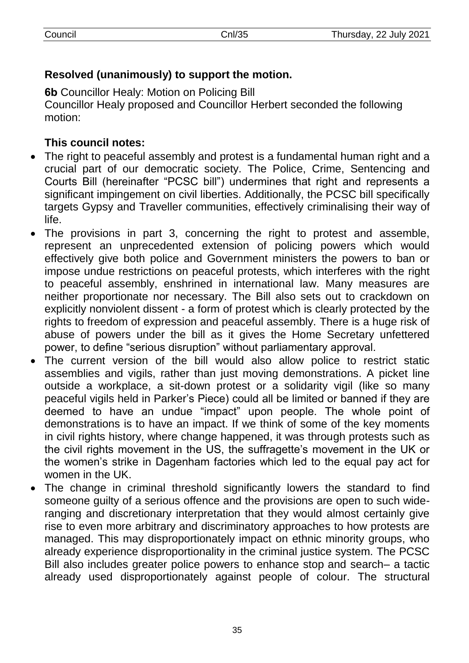# **Resolved (unanimously) to support the motion.**

**6b** Councillor Healy: Motion on Policing Bill Councillor Healy proposed and Councillor Herbert seconded the following motion:

# **This council notes:**

- The right to peaceful assembly and protest is a fundamental human right and a crucial part of our democratic society. The Police, Crime, Sentencing and Courts Bill (hereinafter "PCSC bill") undermines that right and represents a significant impingement on civil liberties. Additionally, the PCSC bill specifically targets Gypsy and Traveller communities, effectively criminalising their way of life.
- The provisions in part 3, concerning the right to protest and assemble, represent an unprecedented extension of policing powers which would effectively give both police and Government ministers the powers to ban or impose undue restrictions on peaceful protests, which interferes with the right to peaceful assembly, enshrined in international law. Many measures are neither proportionate nor necessary. The Bill also sets out to crackdown on explicitly nonviolent dissent - a form of protest which is clearly protected by the rights to freedom of expression and peaceful assembly. There is a huge risk of abuse of powers under the bill as it gives the Home Secretary unfettered power, to define "serious disruption" without parliamentary approval.
- The current version of the bill would also allow police to restrict static assemblies and vigils, rather than just moving demonstrations. A picket line outside a workplace, a sit-down protest or a solidarity vigil (like so many peaceful vigils held in Parker's Piece) could all be limited or banned if they are deemed to have an undue "impact" upon people. The whole point of demonstrations is to have an impact. If we think of some of the key moments in civil rights history, where change happened, it was through protests such as the civil rights movement in the US, the suffragette's movement in the UK or the women's strike in Dagenham factories which led to the equal pay act for women in the UK.
- The change in criminal threshold significantly lowers the standard to find someone guilty of a serious offence and the provisions are open to such wideranging and discretionary interpretation that they would almost certainly give rise to even more arbitrary and discriminatory approaches to how protests are managed. This may disproportionately impact on ethnic minority groups, who already experience disproportionality in the criminal justice system. The PCSC Bill also includes greater police powers to enhance stop and search– a tactic already used disproportionately against people of colour. The structural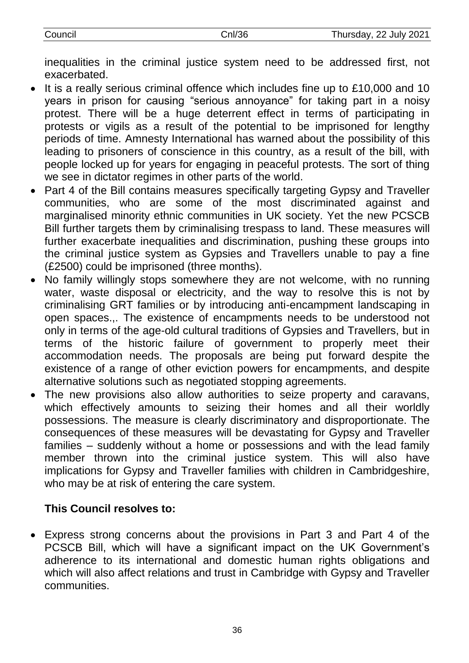inequalities in the criminal justice system need to be addressed first, not exacerbated.

- It is a really serious criminal offence which includes fine up to £10,000 and 10 years in prison for causing "serious annoyance" for taking part in a noisy protest. There will be a huge deterrent effect in terms of participating in protests or vigils as a result of the potential to be imprisoned for lengthy periods of time. Amnesty International has warned about the possibility of this leading to prisoners of conscience in this country, as a result of the bill, with people locked up for years for engaging in peaceful protests. The sort of thing we see in dictator regimes in other parts of the world.
- Part 4 of the Bill contains measures specifically targeting Gypsy and Traveller communities, who are some of the most discriminated against and marginalised minority ethnic communities in UK society. Yet the new PCSCB Bill further targets them by criminalising trespass to land. These measures will further exacerbate inequalities and discrimination, pushing these groups into the criminal justice system as Gypsies and Travellers unable to pay a fine (£2500) could be imprisoned (three months).
- No family willingly stops somewhere they are not welcome, with no running water, waste disposal or electricity, and the way to resolve this is not by criminalising GRT families or by introducing anti-encampment landscaping in open spaces.,. The existence of encampments needs to be understood not only in terms of the age-old cultural traditions of Gypsies and Travellers, but in terms of the historic failure of government to properly meet their accommodation needs. The proposals are being put forward despite the existence of a range of other eviction powers for encampments, and despite alternative solutions such as negotiated stopping agreements.
- The new provisions also allow authorities to seize property and caravans, which effectively amounts to seizing their homes and all their worldly possessions. The measure is clearly discriminatory and disproportionate. The consequences of these measures will be devastating for Gypsy and Traveller families – suddenly without a home or possessions and with the lead family member thrown into the criminal justice system. This will also have implications for Gypsy and Traveller families with children in Cambridgeshire, who may be at risk of entering the care system.

# **This Council resolves to:**

 Express strong concerns about the provisions in Part 3 and Part 4 of the PCSCB Bill, which will have a significant impact on the UK Government's adherence to its international and domestic human rights obligations and which will also affect relations and trust in Cambridge with Gypsy and Traveller communities.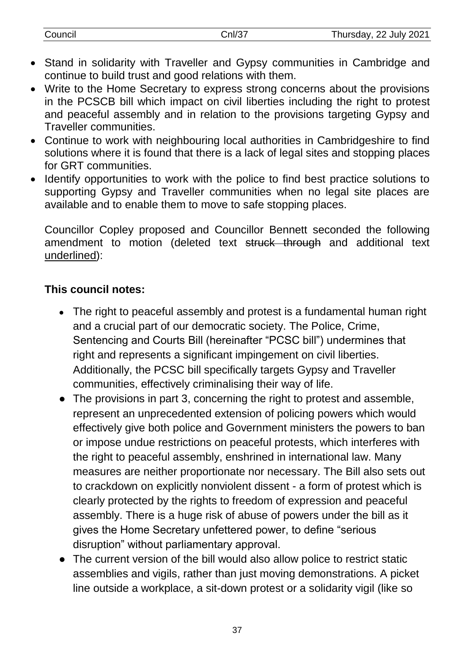- Stand in solidarity with Traveller and Gypsy communities in Cambridge and continue to build trust and good relations with them.
- Write to the Home Secretary to express strong concerns about the provisions in the PCSCB bill which impact on civil liberties including the right to protest and peaceful assembly and in relation to the provisions targeting Gypsy and Traveller communities.
- Continue to work with neighbouring local authorities in Cambridgeshire to find solutions where it is found that there is a lack of legal sites and stopping places for GRT communities.
- Identify opportunities to work with the police to find best practice solutions to supporting Gypsy and Traveller communities when no legal site places are available and to enable them to move to safe stopping places.

Councillor Copley proposed and Councillor Bennett seconded the following amendment to motion (deleted text struck through and additional text underlined):

## **This council notes:**

- The right to peaceful assembly and protest is a fundamental human right and a crucial part of our democratic society. The Police, Crime, Sentencing and Courts Bill (hereinafter "PCSC bill") undermines that right and represents a significant impingement on civil liberties. Additionally, the PCSC bill specifically targets Gypsy and Traveller communities, effectively criminalising their way of life.
- The provisions in part 3, concerning the right to protest and assemble, represent an unprecedented extension of policing powers which would effectively give both police and Government ministers the powers to ban or impose undue restrictions on peaceful protests, which interferes with the right to peaceful assembly, enshrined in international law. Many measures are neither proportionate nor necessary. The Bill also sets out to crackdown on explicitly nonviolent dissent - a form of protest which is clearly protected by the rights to freedom of expression and peaceful assembly. There is a huge risk of abuse of powers under the bill as it gives the Home Secretary unfettered power, to define "serious disruption" without parliamentary approval.
- The current version of the bill would also allow police to restrict static assemblies and vigils, rather than just moving demonstrations. A picket line outside a workplace, a sit-down protest or a solidarity vigil (like so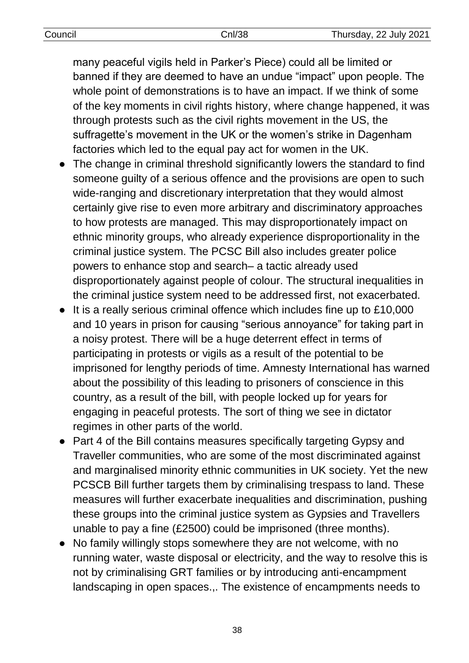| Council | Cnl/38 | Thursday, 22 July 2021 |
|---------|--------|------------------------|

many peaceful vigils held in Parker's Piece) could all be limited or banned if they are deemed to have an undue "impact" upon people. The whole point of demonstrations is to have an impact. If we think of some of the key moments in civil rights history, where change happened, it was through protests such as the civil rights movement in the US, the suffragette's movement in the UK or the women's strike in Dagenham factories which led to the equal pay act for women in the UK.

- The change in criminal threshold significantly lowers the standard to find someone guilty of a serious offence and the provisions are open to such wide-ranging and discretionary interpretation that they would almost certainly give rise to even more arbitrary and discriminatory approaches to how protests are managed. This may disproportionately impact on ethnic minority groups, who already experience disproportionality in the criminal justice system. The PCSC Bill also includes greater police powers to enhance stop and search– a tactic already used disproportionately against people of colour. The structural inequalities in the criminal justice system need to be addressed first, not exacerbated.
- It is a really serious criminal offence which includes fine up to £10,000 and 10 years in prison for causing "serious annoyance" for taking part in a noisy protest. There will be a huge deterrent effect in terms of participating in protests or vigils as a result of the potential to be imprisoned for lengthy periods of time. Amnesty International has warned about the possibility of this leading to prisoners of conscience in this country, as a result of the bill, with people locked up for years for engaging in peaceful protests. The sort of thing we see in dictator regimes in other parts of the world.
- Part 4 of the Bill contains measures specifically targeting Gypsy and Traveller communities, who are some of the most discriminated against and marginalised minority ethnic communities in UK society. Yet the new PCSCB Bill further targets them by criminalising trespass to land. These measures will further exacerbate inequalities and discrimination, pushing these groups into the criminal justice system as Gypsies and Travellers unable to pay a fine (£2500) could be imprisoned (three months).
- No family willingly stops somewhere they are not welcome, with no running water, waste disposal or electricity, and the way to resolve this is not by criminalising GRT families or by introducing anti-encampment landscaping in open spaces.,. The existence of encampments needs to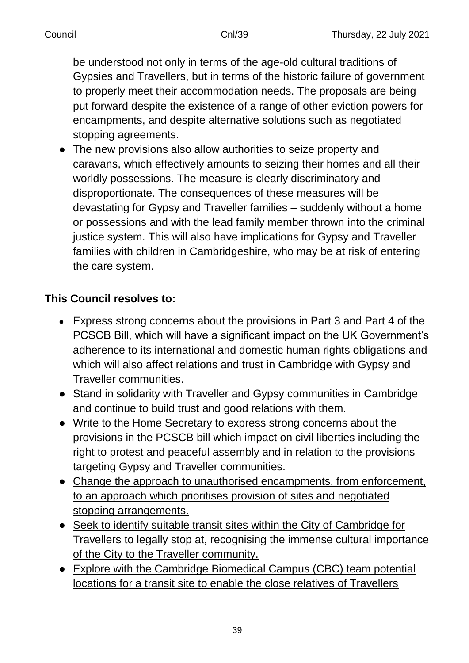be understood not only in terms of the age-old cultural traditions of Gypsies and Travellers, but in terms of the historic failure of government to properly meet their accommodation needs. The proposals are being put forward despite the existence of a range of other eviction powers for encampments, and despite alternative solutions such as negotiated stopping agreements.

● The new provisions also allow authorities to seize property and caravans, which effectively amounts to seizing their homes and all their worldly possessions. The measure is clearly discriminatory and disproportionate. The consequences of these measures will be devastating for Gypsy and Traveller families – suddenly without a home or possessions and with the lead family member thrown into the criminal justice system. This will also have implications for Gypsy and Traveller families with children in Cambridgeshire, who may be at risk of entering the care system.

# **This Council resolves to:**

- Express strong concerns about the provisions in Part 3 and Part 4 of the PCSCB Bill, which will have a significant impact on the UK Government's adherence to its international and domestic human rights obligations and which will also affect relations and trust in Cambridge with Gypsy and Traveller communities.
- Stand in solidarity with Traveller and Gypsy communities in Cambridge and continue to build trust and good relations with them.
- Write to the Home Secretary to express strong concerns about the provisions in the PCSCB bill which impact on civil liberties including the right to protest and peaceful assembly and in relation to the provisions targeting Gypsy and Traveller communities.
- Change the approach to unauthorised encampments, from enforcement, to an approach which prioritises provision of sites and negotiated stopping arrangements.
- Seek to identify suitable transit sites within the City of Cambridge for Travellers to legally stop at, recognising the immense cultural importance of the City to the Traveller community.
- Explore with the Cambridge Biomedical Campus (CBC) team potential locations for a transit site to enable the close relatives of Travellers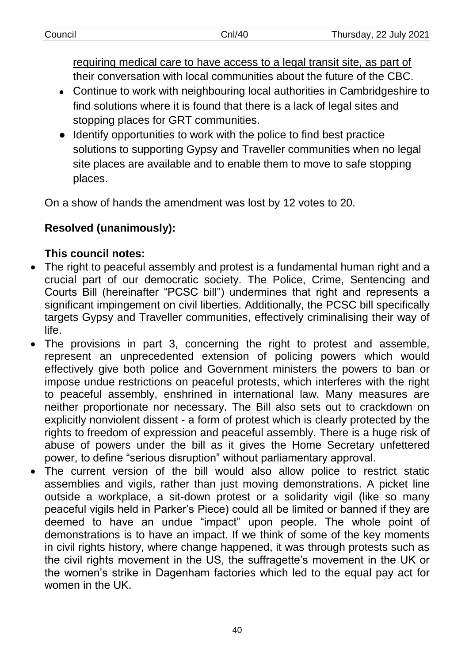requiring medical care to have access to a legal transit site, as part of their conversation with local communities about the future of the CBC.

- Continue to work with neighbouring local authorities in Cambridgeshire to find solutions where it is found that there is a lack of legal sites and stopping places for GRT communities.
- Identify opportunities to work with the police to find best practice solutions to supporting Gypsy and Traveller communities when no legal site places are available and to enable them to move to safe stopping places.

On a show of hands the amendment was lost by 12 votes to 20.

# **Resolved (unanimously):**

# **This council notes:**

- The right to peaceful assembly and protest is a fundamental human right and a crucial part of our democratic society. The Police, Crime, Sentencing and Courts Bill (hereinafter "PCSC bill") undermines that right and represents a significant impingement on civil liberties. Additionally, the PCSC bill specifically targets Gypsy and Traveller communities, effectively criminalising their way of life.
- The provisions in part 3, concerning the right to protest and assemble, represent an unprecedented extension of policing powers which would effectively give both police and Government ministers the powers to ban or impose undue restrictions on peaceful protests, which interferes with the right to peaceful assembly, enshrined in international law. Many measures are neither proportionate nor necessary. The Bill also sets out to crackdown on explicitly nonviolent dissent - a form of protest which is clearly protected by the rights to freedom of expression and peaceful assembly. There is a huge risk of abuse of powers under the bill as it gives the Home Secretary unfettered power, to define "serious disruption" without parliamentary approval.
- The current version of the bill would also allow police to restrict static assemblies and vigils, rather than just moving demonstrations. A picket line outside a workplace, a sit-down protest or a solidarity vigil (like so many peaceful vigils held in Parker's Piece) could all be limited or banned if they are deemed to have an undue "impact" upon people. The whole point of demonstrations is to have an impact. If we think of some of the key moments in civil rights history, where change happened, it was through protests such as the civil rights movement in the US, the suffragette's movement in the UK or the women's strike in Dagenham factories which led to the equal pay act for women in the UK.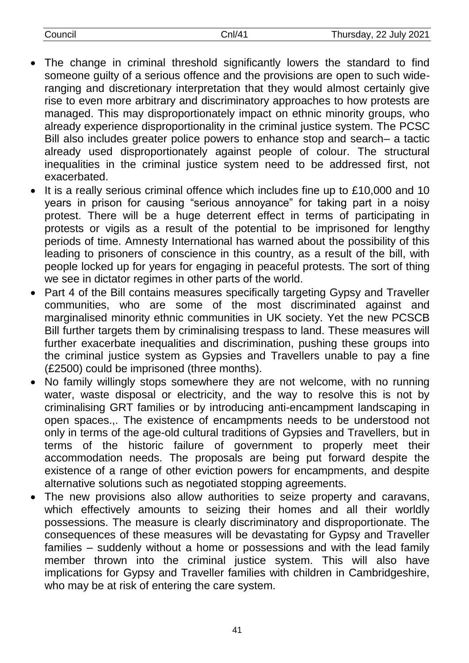| Council | Cnl/41 | Thursday, 22 July 2021 |
|---------|--------|------------------------|

- The change in criminal threshold significantly lowers the standard to find someone guilty of a serious offence and the provisions are open to such wideranging and discretionary interpretation that they would almost certainly give rise to even more arbitrary and discriminatory approaches to how protests are managed. This may disproportionately impact on ethnic minority groups, who already experience disproportionality in the criminal justice system. The PCSC Bill also includes greater police powers to enhance stop and search– a tactic already used disproportionately against people of colour. The structural inequalities in the criminal justice system need to be addressed first, not exacerbated.
- It is a really serious criminal offence which includes fine up to £10,000 and 10 years in prison for causing "serious annoyance" for taking part in a noisy protest. There will be a huge deterrent effect in terms of participating in protests or vigils as a result of the potential to be imprisoned for lengthy periods of time. Amnesty International has warned about the possibility of this leading to prisoners of conscience in this country, as a result of the bill, with people locked up for years for engaging in peaceful protests. The sort of thing we see in dictator regimes in other parts of the world.
- Part 4 of the Bill contains measures specifically targeting Gypsy and Traveller communities, who are some of the most discriminated against and marginalised minority ethnic communities in UK society. Yet the new PCSCB Bill further targets them by criminalising trespass to land. These measures will further exacerbate inequalities and discrimination, pushing these groups into the criminal justice system as Gypsies and Travellers unable to pay a fine (£2500) could be imprisoned (three months).
- No family willingly stops somewhere they are not welcome, with no running water, waste disposal or electricity, and the way to resolve this is not by criminalising GRT families or by introducing anti-encampment landscaping in open spaces.,. The existence of encampments needs to be understood not only in terms of the age-old cultural traditions of Gypsies and Travellers, but in terms of the historic failure of government to properly meet their accommodation needs. The proposals are being put forward despite the existence of a range of other eviction powers for encampments, and despite alternative solutions such as negotiated stopping agreements.
- The new provisions also allow authorities to seize property and caravans, which effectively amounts to seizing their homes and all their worldly possessions. The measure is clearly discriminatory and disproportionate. The consequences of these measures will be devastating for Gypsy and Traveller families – suddenly without a home or possessions and with the lead family member thrown into the criminal justice system. This will also have implications for Gypsy and Traveller families with children in Cambridgeshire, who may be at risk of entering the care system.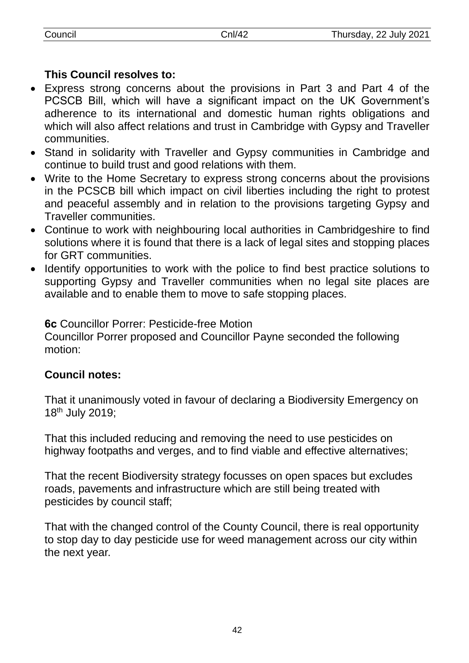## **This Council resolves to:**

- Express strong concerns about the provisions in Part 3 and Part 4 of the PCSCB Bill, which will have a significant impact on the UK Government's adherence to its international and domestic human rights obligations and which will also affect relations and trust in Cambridge with Gypsy and Traveller communities.
- Stand in solidarity with Traveller and Gypsy communities in Cambridge and continue to build trust and good relations with them.
- Write to the Home Secretary to express strong concerns about the provisions in the PCSCB bill which impact on civil liberties including the right to protest and peaceful assembly and in relation to the provisions targeting Gypsy and Traveller communities.
- Continue to work with neighbouring local authorities in Cambridgeshire to find solutions where it is found that there is a lack of legal sites and stopping places for GRT communities.
- Identify opportunities to work with the police to find best practice solutions to supporting Gypsy and Traveller communities when no legal site places are available and to enable them to move to safe stopping places.

**6c** Councillor Porrer: Pesticide-free Motion Councillor Porrer proposed and Councillor Payne seconded the following motion:

## **Council notes:**

That it unanimously voted in favour of declaring a Biodiversity Emergency on 18th July 2019;

That this included reducing and removing the need to use pesticides on highway footpaths and verges, and to find viable and effective alternatives;

That the recent Biodiversity strategy focusses on open spaces but excludes roads, pavements and infrastructure which are still being treated with pesticides by council staff;

That with the changed control of the County Council, there is real opportunity to stop day to day pesticide use for weed management across our city within the next year.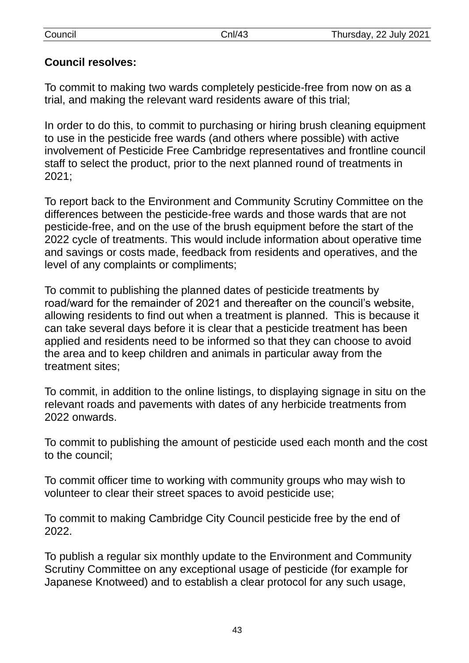## **Council resolves:**

To commit to making two wards completely pesticide-free from now on as a trial, and making the relevant ward residents aware of this trial;

In order to do this, to commit to purchasing or hiring brush cleaning equipment to use in the pesticide free wards (and others where possible) with active involvement of Pesticide Free Cambridge representatives and frontline council staff to select the product, prior to the next planned round of treatments in 2021;

To report back to the Environment and Community Scrutiny Committee on the differences between the pesticide-free wards and those wards that are not pesticide-free, and on the use of the brush equipment before the start of the 2022 cycle of treatments. This would include information about operative time and savings or costs made, feedback from residents and operatives, and the level of any complaints or compliments;

To commit to publishing the planned dates of pesticide treatments by road/ward for the remainder of 2021 and thereafter on the council's website, allowing residents to find out when a treatment is planned. This is because it can take several days before it is clear that a pesticide treatment has been applied and residents need to be informed so that they can choose to avoid the area and to keep children and animals in particular away from the treatment sites;

To commit, in addition to the online listings, to displaying signage in situ on the relevant roads and pavements with dates of any herbicide treatments from 2022 onwards.

To commit to publishing the amount of pesticide used each month and the cost to the council;

To commit officer time to working with community groups who may wish to volunteer to clear their street spaces to avoid pesticide use;

To commit to making Cambridge City Council pesticide free by the end of 2022.

To publish a regular six monthly update to the Environment and Community Scrutiny Committee on any exceptional usage of pesticide (for example for Japanese Knotweed) and to establish a clear protocol for any such usage,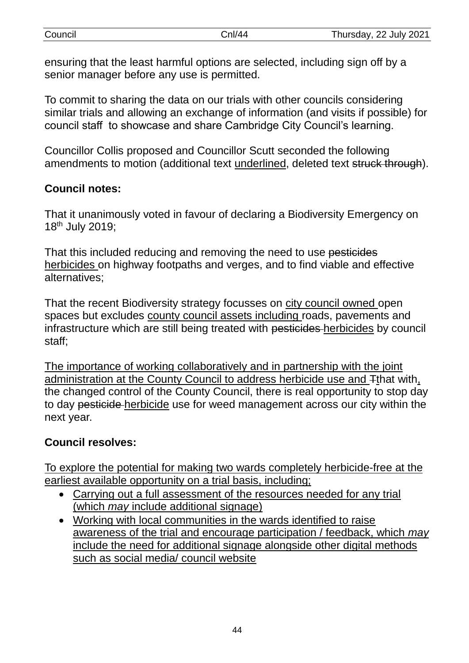| Council | Cnl/44 | Thursday, 22 July 2021 |
|---------|--------|------------------------|
|         |        |                        |

ensuring that the least harmful options are selected, including sign off by a senior manager before any use is permitted.

To commit to sharing the data on our trials with other councils considering similar trials and allowing an exchange of information (and visits if possible) for council staff to showcase and share Cambridge City Council's learning.

Councillor Collis proposed and Councillor Scutt seconded the following amendments to motion (additional text underlined, deleted text struck through).

## **Council notes:**

That it unanimously voted in favour of declaring a Biodiversity Emergency on 18th July 2019;

That this included reducing and removing the need to use pesticides herbicides on highway footpaths and verges, and to find viable and effective alternatives;

That the recent Biodiversity strategy focusses on city council owned open spaces but excludes county council assets including roads, pavements and infrastructure which are still being treated with pesticides herbicides by council staff;

The importance of working collaboratively and in partnership with the joint administration at the County Council to address herbicide use and Tthat with, the changed control of the County Council, there is real opportunity to stop day to day pesticide herbicide use for weed management across our city within the next year.

## **Council resolves:**

To explore the potential for making two wards completely herbicide-free at the earliest available opportunity on a trial basis, including;

- Carrying out a full assessment of the resources needed for any trial (which *may* include additional signage)
- Working with local communities in the wards identified to raise awareness of the trial and encourage participation / feedback, which *may* include the need for additional signage alongside other digital methods such as social media/ council website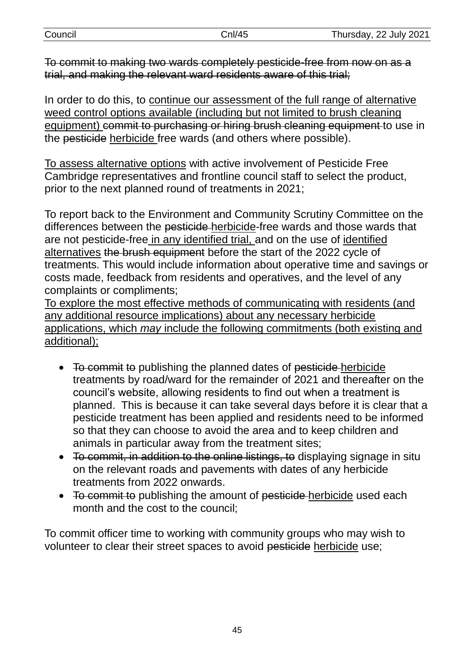| Council | Cnl/45 | Thursday, 22 July 2021 |
|---------|--------|------------------------|
|         |        |                        |

To commit to making two wards completely pesticide-free from now on as a trial, and making the relevant ward residents aware of this trial;

In order to do this, to continue our assessment of the full range of alternative weed control options available (including but not limited to brush cleaning equipment) commit to purchasing or hiring brush cleaning equipment to use in the pesticide herbicide free wards (and others where possible).

To assess alternative options with active involvement of Pesticide Free Cambridge representatives and frontline council staff to select the product, prior to the next planned round of treatments in 2021;

To report back to the Environment and Community Scrutiny Committee on the differences between the pesticide herbicide-free wards and those wards that are not pesticide-free in any identified trial, and on the use of identified alternatives the brush equipment before the start of the 2022 cycle of treatments. This would include information about operative time and savings or costs made, feedback from residents and operatives, and the level of any complaints or compliments;

To explore the most effective methods of communicating with residents (and any additional resource implications) about any necessary herbicide applications, which *may* include the following commitments (both existing and additional);

- To commit to publishing the planned dates of pesticide herbicide treatments by road/ward for the remainder of 2021 and thereafter on the council's website, allowing residents to find out when a treatment is planned. This is because it can take several days before it is clear that a pesticide treatment has been applied and residents need to be informed so that they can choose to avoid the area and to keep children and animals in particular away from the treatment sites;
- To commit, in addition to the online listings, to displaying signage in situ on the relevant roads and pavements with dates of any herbicide treatments from 2022 onwards.
- To commit to publishing the amount of pesticide herbicide used each month and the cost to the council;

To commit officer time to working with community groups who may wish to volunteer to clear their street spaces to avoid pesticide herbicide use;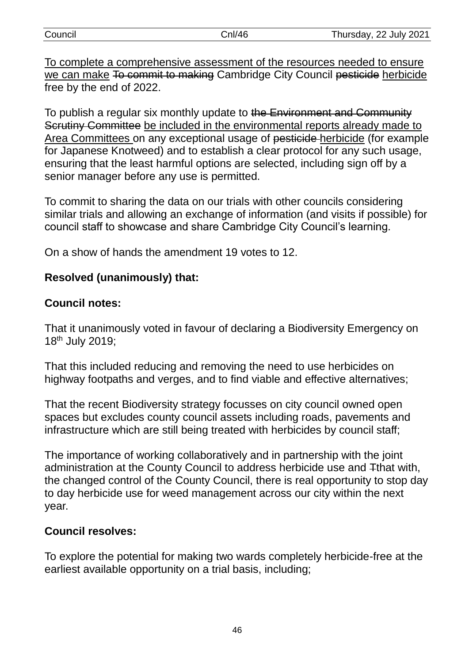| Council | Cnl/46 | Thursday, 22 July 2021 |
|---------|--------|------------------------|
|         |        |                        |

To complete a comprehensive assessment of the resources needed to ensure we can make To commit to making Cambridge City Council pesticide herbicide free by the end of 2022.

To publish a regular six monthly update to the Environment and Community Scrutiny Committee be included in the environmental reports already made to Area Committees on any exceptional usage of pesticide herbicide (for example for Japanese Knotweed) and to establish a clear protocol for any such usage, ensuring that the least harmful options are selected, including sign off by a senior manager before any use is permitted.

To commit to sharing the data on our trials with other councils considering similar trials and allowing an exchange of information (and visits if possible) for council staff to showcase and share Cambridge City Council's learning.

On a show of hands the amendment 19 votes to 12.

## **Resolved (unanimously) that:**

## **Council notes:**

That it unanimously voted in favour of declaring a Biodiversity Emergency on 18th July 2019;

That this included reducing and removing the need to use herbicides on highway footpaths and verges, and to find viable and effective alternatives;

That the recent Biodiversity strategy focusses on city council owned open spaces but excludes county council assets including roads, pavements and infrastructure which are still being treated with herbicides by council staff;

The importance of working collaboratively and in partnership with the joint administration at the County Council to address herbicide use and Tthat with, the changed control of the County Council, there is real opportunity to stop day to day herbicide use for weed management across our city within the next year.

## **Council resolves:**

To explore the potential for making two wards completely herbicide-free at the earliest available opportunity on a trial basis, including;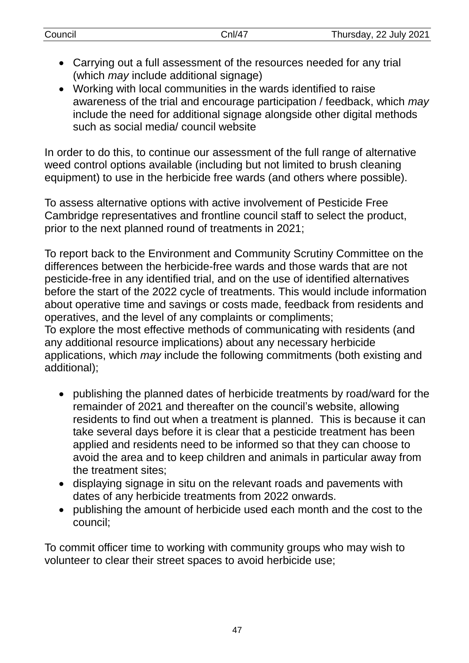- Carrying out a full assessment of the resources needed for any trial (which *may* include additional signage)
- Working with local communities in the wards identified to raise awareness of the trial and encourage participation / feedback, which *may* include the need for additional signage alongside other digital methods such as social media/ council website

In order to do this, to continue our assessment of the full range of alternative weed control options available (including but not limited to brush cleaning equipment) to use in the herbicide free wards (and others where possible).

To assess alternative options with active involvement of Pesticide Free Cambridge representatives and frontline council staff to select the product, prior to the next planned round of treatments in 2021;

To report back to the Environment and Community Scrutiny Committee on the differences between the herbicide-free wards and those wards that are not pesticide-free in any identified trial, and on the use of identified alternatives before the start of the 2022 cycle of treatments. This would include information about operative time and savings or costs made, feedback from residents and operatives, and the level of any complaints or compliments; To explore the most effective methods of communicating with residents (and any additional resource implications) about any necessary herbicide applications, which *may* include the following commitments (both existing and additional);

- publishing the planned dates of herbicide treatments by road/ward for the remainder of 2021 and thereafter on the council's website, allowing residents to find out when a treatment is planned. This is because it can take several days before it is clear that a pesticide treatment has been applied and residents need to be informed so that they can choose to avoid the area and to keep children and animals in particular away from the treatment sites;
- displaying signage in situ on the relevant roads and pavements with dates of any herbicide treatments from 2022 onwards.
- publishing the amount of herbicide used each month and the cost to the council;

To commit officer time to working with community groups who may wish to volunteer to clear their street spaces to avoid herbicide use;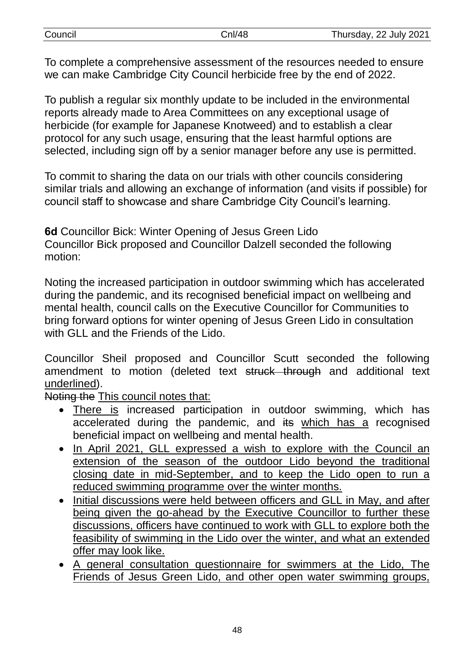| Council | Cnl/48 | Thursday, 22 July 2021 |
|---------|--------|------------------------|
|         |        |                        |

To complete a comprehensive assessment of the resources needed to ensure we can make Cambridge City Council herbicide free by the end of 2022.

To publish a regular six monthly update to be included in the environmental reports already made to Area Committees on any exceptional usage of herbicide (for example for Japanese Knotweed) and to establish a clear protocol for any such usage, ensuring that the least harmful options are selected, including sign off by a senior manager before any use is permitted.

To commit to sharing the data on our trials with other councils considering similar trials and allowing an exchange of information (and visits if possible) for council staff to showcase and share Cambridge City Council's learning.

**6d** Councillor Bick: Winter Opening of Jesus Green Lido Councillor Bick proposed and Councillor Dalzell seconded the following motion:

Noting the increased participation in outdoor swimming which has accelerated during the pandemic, and its recognised beneficial impact on wellbeing and mental health, council calls on the Executive Councillor for Communities to bring forward options for winter opening of Jesus Green Lido in consultation with GLL and the Friends of the Lido.

Councillor Sheil proposed and Councillor Scutt seconded the following amendment to motion (deleted text struck through and additional text underlined).

Noting the This council notes that:

- There is increased participation in outdoor swimming, which has accelerated during the pandemic, and its which has a recognised beneficial impact on wellbeing and mental health.
- In April 2021, GLL expressed a wish to explore with the Council an extension of the season of the outdoor Lido beyond the traditional closing date in mid-September, and to keep the Lido open to run a reduced swimming programme over the winter months.
- Initial discussions were held between officers and GLL in May, and after being given the go-ahead by the Executive Councillor to further these discussions, officers have continued to work with GLL to explore both the feasibility of swimming in the Lido over the winter, and what an extended offer may look like.
- A general consultation questionnaire for swimmers at the Lido, The Friends of Jesus Green Lido, and other open water swimming groups,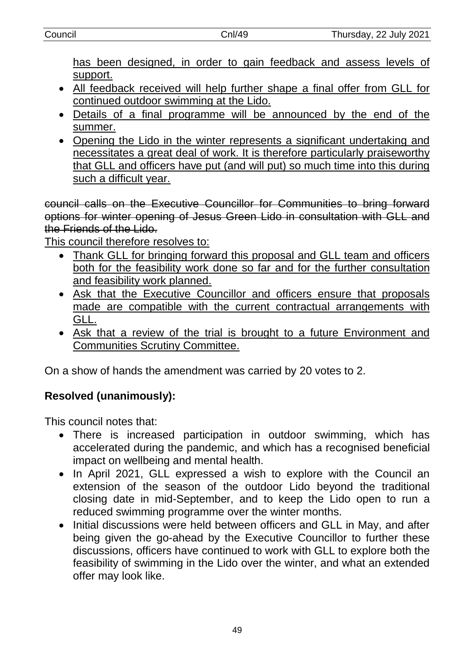has been designed, in order to gain feedback and assess levels of support.

- All feedback received will help further shape a final offer from GLL for continued outdoor swimming at the Lido.
- Details of a final programme will be announced by the end of the summer.
- Opening the Lido in the winter represents a significant undertaking and necessitates a great deal of work. It is therefore particularly praiseworthy that GLL and officers have put (and will put) so much time into this during such a difficult year.

council calls on the Executive Councillor for Communities to bring forward options for winter opening of Jesus Green Lido in consultation with GLL and the Friends of the Lido.

This council therefore resolves to:

- Thank GLL for bringing forward this proposal and GLL team and officers both for the feasibility work done so far and for the further consultation and feasibility work planned.
- Ask that the Executive Councillor and officers ensure that proposals made are compatible with the current contractual arrangements with GLL.
- Ask that a review of the trial is brought to a future Environment and Communities Scrutiny Committee.

On a show of hands the amendment was carried by 20 votes to 2.

# **Resolved (unanimously):**

This council notes that:

- There is increased participation in outdoor swimming, which has accelerated during the pandemic, and which has a recognised beneficial impact on wellbeing and mental health.
- In April 2021, GLL expressed a wish to explore with the Council an extension of the season of the outdoor Lido beyond the traditional closing date in mid-September, and to keep the Lido open to run a reduced swimming programme over the winter months.
- Initial discussions were held between officers and GLL in May, and after being given the go-ahead by the Executive Councillor to further these discussions, officers have continued to work with GLL to explore both the feasibility of swimming in the Lido over the winter, and what an extended offer may look like.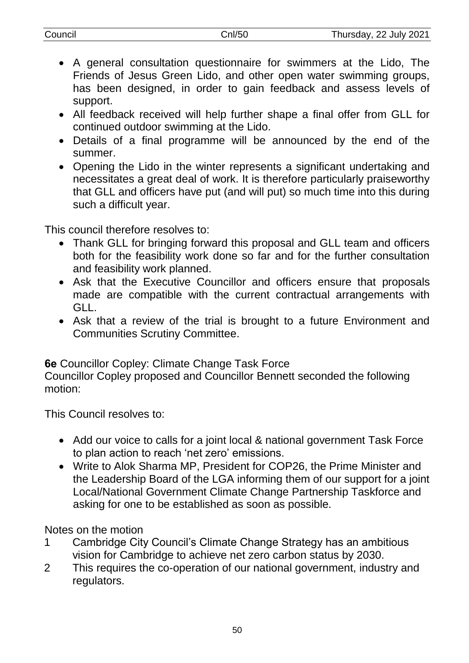- A general consultation questionnaire for swimmers at the Lido, The Friends of Jesus Green Lido, and other open water swimming groups, has been designed, in order to gain feedback and assess levels of support.
- All feedback received will help further shape a final offer from GLL for continued outdoor swimming at the Lido.
- Details of a final programme will be announced by the end of the summer.
- Opening the Lido in the winter represents a significant undertaking and necessitates a great deal of work. It is therefore particularly praiseworthy that GLL and officers have put (and will put) so much time into this during such a difficult year.

This council therefore resolves to:

- Thank GLL for bringing forward this proposal and GLL team and officers both for the feasibility work done so far and for the further consultation and feasibility work planned.
- Ask that the Executive Councillor and officers ensure that proposals made are compatible with the current contractual arrangements with GLL.
- Ask that a review of the trial is brought to a future Environment and Communities Scrutiny Committee.

**6e** Councillor Copley: Climate Change Task Force

Councillor Copley proposed and Councillor Bennett seconded the following motion:

This Council resolves to:

- Add our voice to calls for a joint local & national government Task Force to plan action to reach 'net zero' emissions.
- Write to Alok Sharma MP, President for COP26, the Prime Minister and the Leadership Board of the LGA informing them of our support for a joint Local/National Government Climate Change Partnership Taskforce and asking for one to be established as soon as possible.

Notes on the motion

- 1 Cambridge City Council's Climate Change Strategy has an ambitious vision for Cambridge to achieve net zero carbon status by 2030.
- 2 This requires the co-operation of our national government, industry and regulators.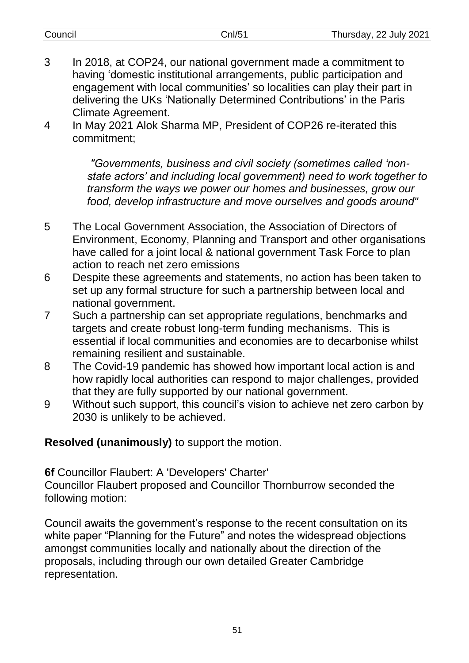| Council | Cnl/5 | Thursday, 22 July 2021 |
|---------|-------|------------------------|
|         |       |                        |

- 3 In 2018, at COP24, our national government made a commitment to having 'domestic institutional arrangements, public participation and engagement with local communities' so localities can play their part in delivering the UKs 'Nationally Determined Contributions' in the Paris Climate Agreement.
- 4 In May 2021 Alok Sharma MP, President of COP26 re-iterated this commitment;

*"Governments, business and civil society (sometimes called 'nonstate actors' and including local government) need to work together to transform the ways we power our homes and businesses, grow our food, develop infrastructure and move ourselves and goods around"*

- 5 The Local Government Association, the Association of Directors of Environment, Economy, Planning and Transport and other organisations have called for a joint local & national government Task Force to plan action to reach net zero emissions
- 6 Despite these agreements and statements, no action has been taken to set up any formal structure for such a partnership between local and national government.
- 7 Such a partnership can set appropriate regulations, benchmarks and targets and create robust long-term funding mechanisms. This is essential if local communities and economies are to decarbonise whilst remaining resilient and sustainable.
- 8 The Covid-19 pandemic has showed how important local action is and how rapidly local authorities can respond to major challenges, provided that they are fully supported by our national government.
- 9 Without such support, this council's vision to achieve net zero carbon by 2030 is unlikely to be achieved.

#### **Resolved (unanimously)** to support the motion.

**6f** Councillor Flaubert: A 'Developers' Charter'

Councillor Flaubert proposed and Councillor Thornburrow seconded the following motion:

Council awaits the government's response to the recent consultation on its white paper "Planning for the Future" and notes the widespread objections amongst communities locally and nationally about the direction of the proposals, including through our own detailed Greater Cambridge representation.